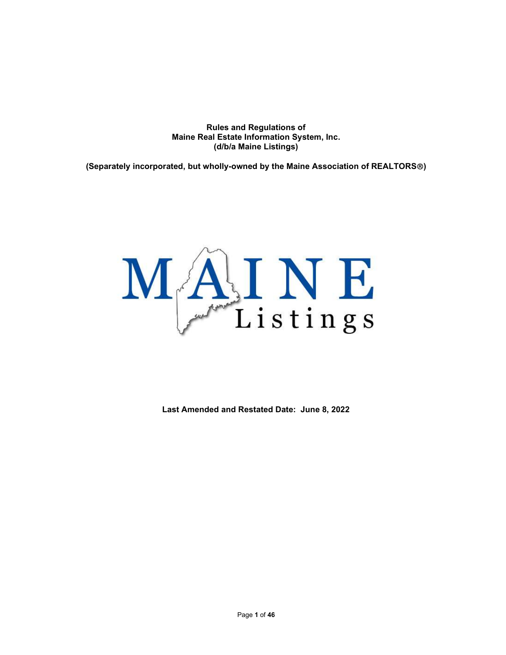Rules and Regulations of Maine Real Estate Information System, Inc. (d/b/a Maine Listings)

(Separately incorporated, but wholly-owned by the Maine Association of REALTORS®)



Last Amended and Restated Date: June 8, 2022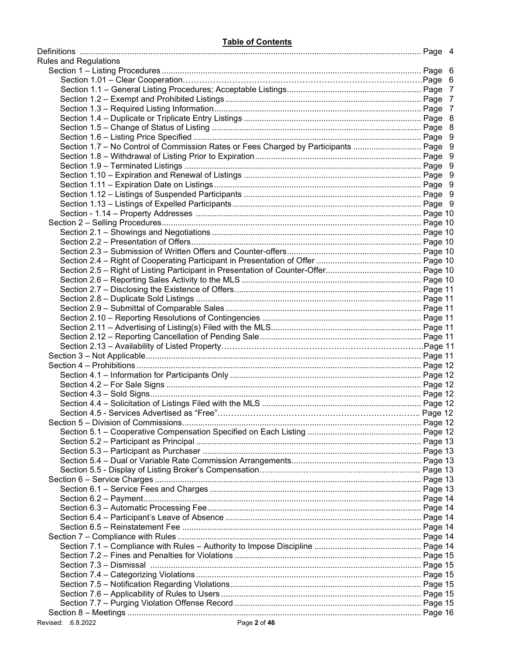| <b>Rules and Regulations</b>                                                         |  |
|--------------------------------------------------------------------------------------|--|
|                                                                                      |  |
|                                                                                      |  |
|                                                                                      |  |
|                                                                                      |  |
|                                                                                      |  |
|                                                                                      |  |
|                                                                                      |  |
|                                                                                      |  |
| Section 1.7 - No Control of Commission Rates or Fees Charged by Participants  Page 9 |  |
|                                                                                      |  |
|                                                                                      |  |
|                                                                                      |  |
|                                                                                      |  |
|                                                                                      |  |
|                                                                                      |  |
|                                                                                      |  |
|                                                                                      |  |
|                                                                                      |  |
|                                                                                      |  |
|                                                                                      |  |
|                                                                                      |  |
|                                                                                      |  |
|                                                                                      |  |
|                                                                                      |  |
|                                                                                      |  |
|                                                                                      |  |
|                                                                                      |  |
|                                                                                      |  |
|                                                                                      |  |
|                                                                                      |  |
|                                                                                      |  |
|                                                                                      |  |
|                                                                                      |  |
|                                                                                      |  |
|                                                                                      |  |
|                                                                                      |  |
|                                                                                      |  |
|                                                                                      |  |
|                                                                                      |  |
|                                                                                      |  |
|                                                                                      |  |
|                                                                                      |  |
|                                                                                      |  |
|                                                                                      |  |
|                                                                                      |  |
|                                                                                      |  |
|                                                                                      |  |
|                                                                                      |  |
|                                                                                      |  |
|                                                                                      |  |
|                                                                                      |  |
|                                                                                      |  |
|                                                                                      |  |
|                                                                                      |  |
|                                                                                      |  |
|                                                                                      |  |
|                                                                                      |  |
|                                                                                      |  |
|                                                                                      |  |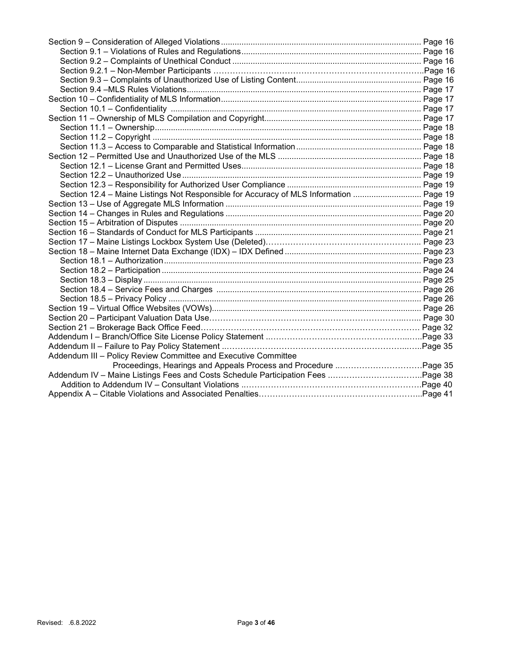| Section 12.4 - Maine Listings Not Responsible for Accuracy of MLS Information  Page 19 |  |
|----------------------------------------------------------------------------------------|--|
|                                                                                        |  |
|                                                                                        |  |
|                                                                                        |  |
|                                                                                        |  |
|                                                                                        |  |
|                                                                                        |  |
|                                                                                        |  |
|                                                                                        |  |
|                                                                                        |  |
|                                                                                        |  |
|                                                                                        |  |
|                                                                                        |  |
|                                                                                        |  |
|                                                                                        |  |
|                                                                                        |  |
|                                                                                        |  |
| Addendum III - Policy Review Committee and Executive Committee                         |  |
|                                                                                        |  |
|                                                                                        |  |
|                                                                                        |  |
|                                                                                        |  |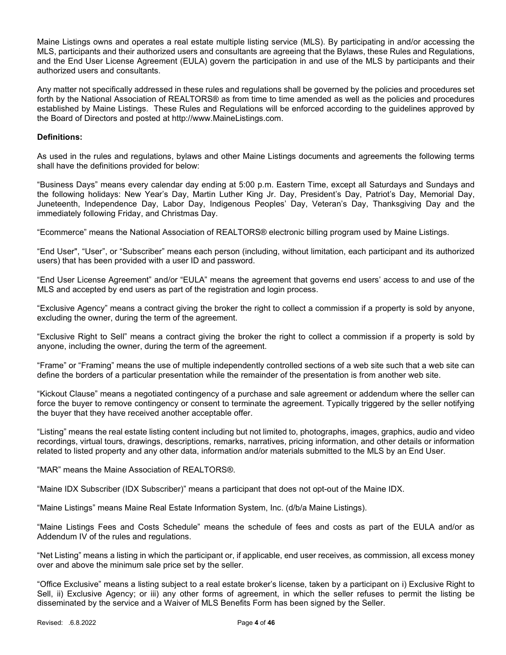Maine Listings owns and operates a real estate multiple listing service (MLS). By participating in and/or accessing the MLS, participants and their authorized users and consultants are agreeing that the Bylaws, these Rules and Regulations, and the End User License Agreement (EULA) govern the participation in and use of the MLS by participants and their authorized users and consultants.

Any matter not specifically addressed in these rules and regulations shall be governed by the policies and procedures set forth by the National Association of REALTORS® as from time to time amended as well as the policies and procedures established by Maine Listings. These Rules and Regulations will be enforced according to the guidelines approved by the Board of Directors and posted at http://www.MaineListings.com.

### Definitions:

As used in the rules and regulations, bylaws and other Maine Listings documents and agreements the following terms shall have the definitions provided for below:

"Business Days" means every calendar day ending at 5:00 p.m. Eastern Time, except all Saturdays and Sundays and the following holidays: New Year's Day, Martin Luther King Jr. Day, President's Day, Patriot's Day, Memorial Day, Juneteenth, Independence Day, Labor Day, Indigenous Peoples' Day, Veteran's Day, Thanksgiving Day and the immediately following Friday, and Christmas Day.

"Ecommerce" means the National Association of REALTORS® electronic billing program used by Maine Listings.

"End User", "User", or "Subscriber" means each person (including, without limitation, each participant and its authorized users) that has been provided with a user ID and password.

"End User License Agreement" and/or "EULA" means the agreement that governs end users' access to and use of the MLS and accepted by end users as part of the registration and login process.

"Exclusive Agency" means a contract giving the broker the right to collect a commission if a property is sold by anyone, excluding the owner, during the term of the agreement.

"Exclusive Right to Sell" means a contract giving the broker the right to collect a commission if a property is sold by anyone, including the owner, during the term of the agreement.

"Frame" or "Framing" means the use of multiple independently controlled sections of a web site such that a web site can define the borders of a particular presentation while the remainder of the presentation is from another web site.

"Kickout Clause" means a negotiated contingency of a purchase and sale agreement or addendum where the seller can force the buyer to remove contingency or consent to terminate the agreement. Typically triggered by the seller notifying the buyer that they have received another acceptable offer.

"Listing" means the real estate listing content including but not limited to, photographs, images, graphics, audio and video recordings, virtual tours, drawings, descriptions, remarks, narratives, pricing information, and other details or information related to listed property and any other data, information and/or materials submitted to the MLS by an End User.

#### "MAR" means the Maine Association of REALTORS®.

"Maine IDX Subscriber (IDX Subscriber)" means a participant that does not opt-out of the Maine IDX.

"Maine Listings" means Maine Real Estate Information System, Inc. (d/b/a Maine Listings).

"Maine Listings Fees and Costs Schedule" means the schedule of fees and costs as part of the EULA and/or as Addendum IV of the rules and regulations.

"Net Listing" means a listing in which the participant or, if applicable, end user receives, as commission, all excess money over and above the minimum sale price set by the seller.

"Office Exclusive" means a listing subject to a real estate broker's license, taken by a participant on i) Exclusive Right to Sell, ii) Exclusive Agency; or iii) any other forms of agreement, in which the seller refuses to permit the listing be disseminated by the service and a Waiver of MLS Benefits Form has been signed by the Seller.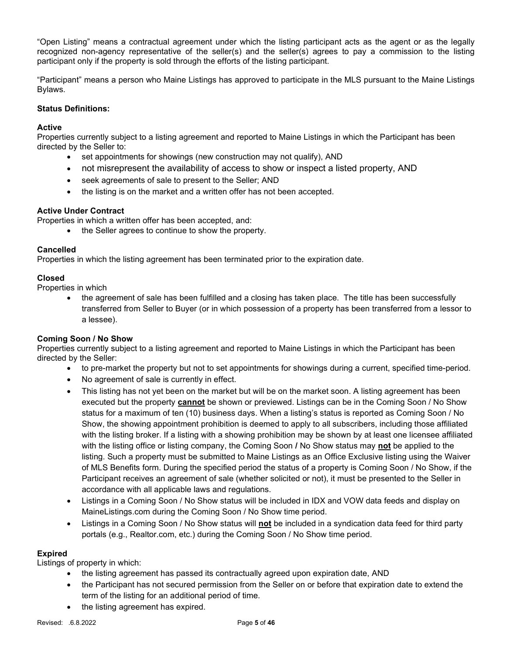"Open Listing" means a contractual agreement under which the listing participant acts as the agent or as the legally recognized non-agency representative of the seller(s) and the seller(s) agrees to pay a commission to the listing participant only if the property is sold through the efforts of the listing participant.

"Participant" means a person who Maine Listings has approved to participate in the MLS pursuant to the Maine Listings Bylaws.

# Status Definitions:

# **Active**

Properties currently subject to a listing agreement and reported to Maine Listings in which the Participant has been directed by the Seller to:

- set appointments for showings (new construction may not qualify), AND
- not misrepresent the availability of access to show or inspect a listed property, AND
- seek agreements of sale to present to the Seller; AND
- the listing is on the market and a written offer has not been accepted.

# Active Under Contract

Properties in which a written offer has been accepted, and:

• the Seller agrees to continue to show the property.

# Cancelled

Properties in which the listing agreement has been terminated prior to the expiration date.

# Closed

Properties in which

• the agreement of sale has been fulfilled and a closing has taken place. The title has been successfully transferred from Seller to Buyer (or in which possession of a property has been transferred from a lessor to a lessee).

# Coming Soon / No Show

Properties currently subject to a listing agreement and reported to Maine Listings in which the Participant has been directed by the Seller:

- to pre-market the property but not to set appointments for showings during a current, specified time-period.
- No agreement of sale is currently in effect.
- This listing has not yet been on the market but will be on the market soon. A listing agreement has been executed but the property cannot be shown or previewed. Listings can be in the Coming Soon / No Show status for a maximum of ten (10) business days. When a listing's status is reported as Coming Soon / No Show, the showing appointment prohibition is deemed to apply to all subscribers, including those affiliated with the listing broker. If a listing with a showing prohibition may be shown by at least one licensee affiliated with the listing office or listing company, the Coming Soon / No Show status may not be applied to the listing. Such a property must be submitted to Maine Listings as an Office Exclusive listing using the Waiver of MLS Benefits form. During the specified period the status of a property is Coming Soon / No Show, if the Participant receives an agreement of sale (whether solicited or not), it must be presented to the Seller in accordance with all applicable laws and regulations.
- Listings in a Coming Soon / No Show status will be included in IDX and VOW data feeds and display on MaineListings.com during the Coming Soon / No Show time period.
- Listings in a Coming Soon / No Show status will not be included in a syndication data feed for third party portals (e.g., Realtor.com, etc.) during the Coming Soon / No Show time period.

# Expired

Listings of property in which:

- the listing agreement has passed its contractually agreed upon expiration date, AND
- the Participant has not secured permission from the Seller on or before that expiration date to extend the term of the listing for an additional period of time.
- the listing agreement has expired.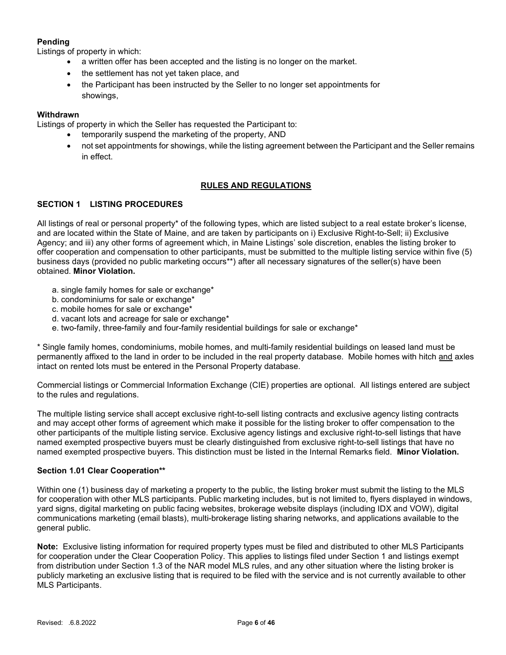# Pending

Listings of property in which:

- a written offer has been accepted and the listing is no longer on the market.
- the settlement has not yet taken place, and
- the Participant has been instructed by the Seller to no longer set appointments for showings,

# Withdrawn

Listings of property in which the Seller has requested the Participant to:

- temporarily suspend the marketing of the property, AND
- not set appointments for showings, while the listing agreement between the Participant and the Seller remains in effect.

# RULES AND REGULATIONS

# SECTION 1 LISTING PROCEDURES

All listings of real or personal property\* of the following types, which are listed subject to a real estate broker's license, and are located within the State of Maine, and are taken by participants on i) Exclusive Right-to-Sell; ii) Exclusive Agency; and iii) any other forms of agreement which, in Maine Listings' sole discretion, enables the listing broker to offer cooperation and compensation to other participants, must be submitted to the multiple listing service within five (5) business days (provided no public marketing occurs\*\*) after all necessary signatures of the seller(s) have been obtained. Minor Violation.

- a. single family homes for sale or exchange\*
- b. condominiums for sale or exchange\*
- c. mobile homes for sale or exchange\*
- d. vacant lots and acreage for sale or exchange\*
- e. two-family, three-family and four-family residential buildings for sale or exchange\*

\* Single family homes, condominiums, mobile homes, and multi-family residential buildings on leased land must be permanently affixed to the land in order to be included in the real property database. Mobile homes with hitch and axles intact on rented lots must be entered in the Personal Property database.

Commercial listings or Commercial Information Exchange (CIE) properties are optional. All listings entered are subject to the rules and regulations.

The multiple listing service shall accept exclusive right-to-sell listing contracts and exclusive agency listing contracts and may accept other forms of agreement which make it possible for the listing broker to offer compensation to the other participants of the multiple listing service. Exclusive agency listings and exclusive right-to-sell listings that have named exempted prospective buyers must be clearly distinguished from exclusive right-to-sell listings that have no named exempted prospective buyers. This distinction must be listed in the Internal Remarks field. Minor Violation.

## Section 1.01 Clear Cooperation\*\*

Within one (1) business day of marketing a property to the public, the listing broker must submit the listing to the MLS for cooperation with other MLS participants. Public marketing includes, but is not limited to, flyers displayed in windows, yard signs, digital marketing on public facing websites, brokerage website displays (including IDX and VOW), digital communications marketing (email blasts), multi-brokerage listing sharing networks, and applications available to the general public.

Note: Exclusive listing information for required property types must be filed and distributed to other MLS Participants for cooperation under the Clear Cooperation Policy. This applies to listings filed under Section 1 and listings exempt from distribution under Section 1.3 of the NAR model MLS rules, and any other situation where the listing broker is publicly marketing an exclusive listing that is required to be filed with the service and is not currently available to other MLS Participants.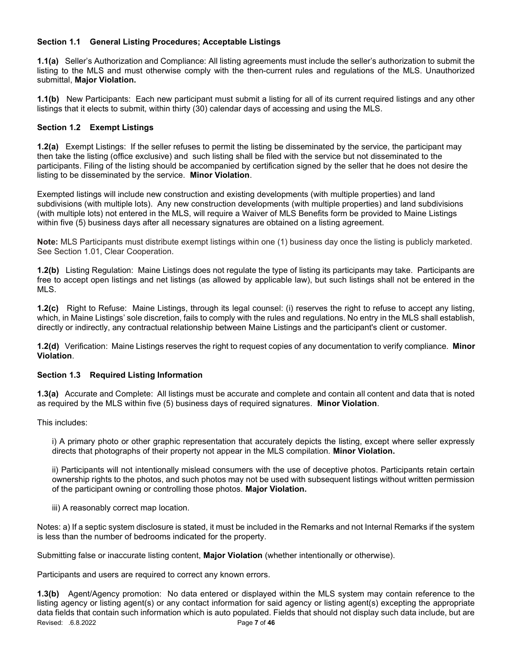# Section 1.1 General Listing Procedures; Acceptable Listings

1.1(a) Seller's Authorization and Compliance: All listing agreements must include the seller's authorization to submit the listing to the MLS and must otherwise comply with the then-current rules and regulations of the MLS. Unauthorized submittal, Major Violation.

1.1(b) New Participants: Each new participant must submit a listing for all of its current required listings and any other listings that it elects to submit, within thirty (30) calendar days of accessing and using the MLS.

# Section 1.2 Exempt Listings

1.2(a) Exempt Listings: If the seller refuses to permit the listing be disseminated by the service, the participant may then take the listing (office exclusive) and such listing shall be filed with the service but not disseminated to the participants. Filing of the listing should be accompanied by certification signed by the seller that he does not desire the listing to be disseminated by the service. Minor Violation.

Exempted listings will include new construction and existing developments (with multiple properties) and land subdivisions (with multiple lots). Any new construction developments (with multiple properties) and land subdivisions (with multiple lots) not entered in the MLS, will require a Waiver of MLS Benefits form be provided to Maine Listings within five (5) business days after all necessary signatures are obtained on a listing agreement.

Note: MLS Participants must distribute exempt listings within one (1) business day once the listing is publicly marketed. See Section 1.01, Clear Cooperation.

1.2(b) Listing Regulation: Maine Listings does not regulate the type of listing its participants may take. Participants are free to accept open listings and net listings (as allowed by applicable law), but such listings shall not be entered in the MLS.

1.2(c) Right to Refuse: Maine Listings, through its legal counsel: (i) reserves the right to refuse to accept any listing, which, in Maine Listings' sole discretion, fails to comply with the rules and regulations. No entry in the MLS shall establish, directly or indirectly, any contractual relationship between Maine Listings and the participant's client or customer.

1.2(d) Verification: Maine Listings reserves the right to request copies of any documentation to verify compliance. Minor Violation.

# Section 1.3 Required Listing Information

1.3(a) Accurate and Complete: All listings must be accurate and complete and contain all content and data that is noted as required by the MLS within five (5) business days of required signatures. Minor Violation.

This includes:

i) A primary photo or other graphic representation that accurately depicts the listing, except where seller expressly directs that photographs of their property not appear in the MLS compilation. Minor Violation.

ii) Participants will not intentionally mislead consumers with the use of deceptive photos. Participants retain certain ownership rights to the photos, and such photos may not be used with subsequent listings without written permission of the participant owning or controlling those photos. Major Violation.

iii) A reasonably correct map location.

Notes: a) If a septic system disclosure is stated, it must be included in the Remarks and not Internal Remarks if the system is less than the number of bedrooms indicated for the property.

Submitting false or inaccurate listing content, Major Violation (whether intentionally or otherwise).

Participants and users are required to correct any known errors.

Revised: .6.8.2022 **Page 7 of 46** 1.3(b) Agent/Agency promotion: No data entered or displayed within the MLS system may contain reference to the listing agency or listing agent(s) or any contact information for said agency or listing agent(s) excepting the appropriate data fields that contain such information which is auto populated. Fields that should not display such data include, but are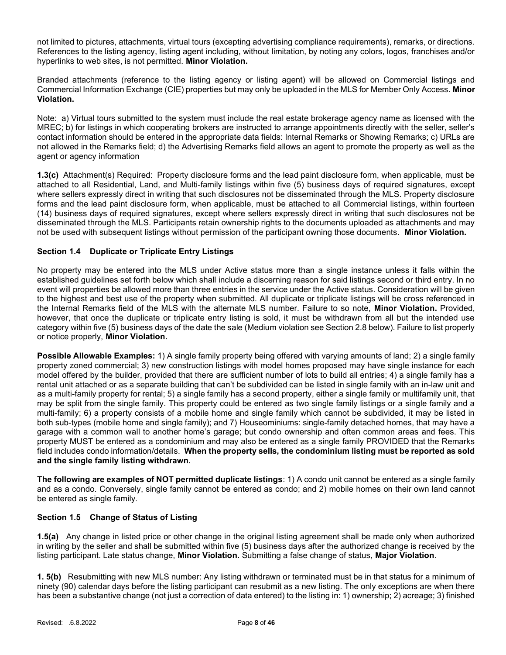not limited to pictures, attachments, virtual tours (excepting advertising compliance requirements), remarks, or directions. References to the listing agency, listing agent including, without limitation, by noting any colors, logos, franchises and/or hyperlinks to web sites, is not permitted. Minor Violation.

Branded attachments (reference to the listing agency or listing agent) will be allowed on Commercial listings and Commercial Information Exchange (CIE) properties but may only be uploaded in the MLS for Member Only Access. Minor Violation.

Note: a) Virtual tours submitted to the system must include the real estate brokerage agency name as licensed with the MREC; b) for listings in which cooperating brokers are instructed to arrange appointments directly with the seller, seller's contact information should be entered in the appropriate data fields: Internal Remarks or Showing Remarks; c) URLs are not allowed in the Remarks field; d) the Advertising Remarks field allows an agent to promote the property as well as the agent or agency information

1.3(c) Attachment(s) Required: Property disclosure forms and the lead paint disclosure form, when applicable, must be attached to all Residential, Land, and Multi-family listings within five (5) business days of required signatures, except where sellers expressly direct in writing that such disclosures not be disseminated through the MLS. Property disclosure forms and the lead paint disclosure form, when applicable, must be attached to all Commercial listings, within fourteen (14) business days of required signatures, except where sellers expressly direct in writing that such disclosures not be disseminated through the MLS. Participants retain ownership rights to the documents uploaded as attachments and may not be used with subsequent listings without permission of the participant owning those documents. Minor Violation.

# Section 1.4 Duplicate or Triplicate Entry Listings

No property may be entered into the MLS under Active status more than a single instance unless it falls within the established guidelines set forth below which shall include a discerning reason for said listings second or third entry. In no event will properties be allowed more than three entries in the service under the Active status. Consideration will be given to the highest and best use of the property when submitted. All duplicate or triplicate listings will be cross referenced in the Internal Remarks field of the MLS with the alternate MLS number. Failure to so note, Minor Violation. Provided, however, that once the duplicate or triplicate entry listing is sold, it must be withdrawn from all but the intended use category within five (5) business days of the date the sale (Medium violation see Section 2.8 below). Failure to list properly or notice properly, Minor Violation.

Possible Allowable Examples: 1) A single family property being offered with varying amounts of land; 2) a single family property zoned commercial; 3) new construction listings with model homes proposed may have single instance for each model offered by the builder, provided that there are sufficient number of lots to build all entries; 4) a single family has a rental unit attached or as a separate building that can't be subdivided can be listed in single family with an in-law unit and as a multi-family property for rental; 5) a single family has a second property, either a single family or multifamily unit, that may be split from the single family. This property could be entered as two single family listings or a single family and a multi-family; 6) a property consists of a mobile home and single family which cannot be subdivided, it may be listed in both sub-types (mobile home and single family); and 7) Houseominiums: single-family detached homes, that may have a garage with a common wall to another home's garage; but condo ownership and often common areas and fees. This property MUST be entered as a condominium and may also be entered as a single family PROVIDED that the Remarks field includes condo information/details. When the property sells, the condominium listing must be reported as sold and the single family listing withdrawn.

The following are examples of NOT permitted duplicate listings: 1) A condo unit cannot be entered as a single family and as a condo. Conversely, single family cannot be entered as condo; and 2) mobile homes on their own land cannot be entered as single family.

## Section 1.5 Change of Status of Listing

1.5(a) Any change in listed price or other change in the original listing agreement shall be made only when authorized in writing by the seller and shall be submitted within five (5) business days after the authorized change is received by the listing participant. Late status change, Minor Violation. Submitting a false change of status, Major Violation.

1. 5(b) Resubmitting with new MLS number: Any listing withdrawn or terminated must be in that status for a minimum of ninety (90) calendar days before the listing participant can resubmit as a new listing. The only exceptions are when there has been a substantive change (not just a correction of data entered) to the listing in: 1) ownership; 2) acreage; 3) finished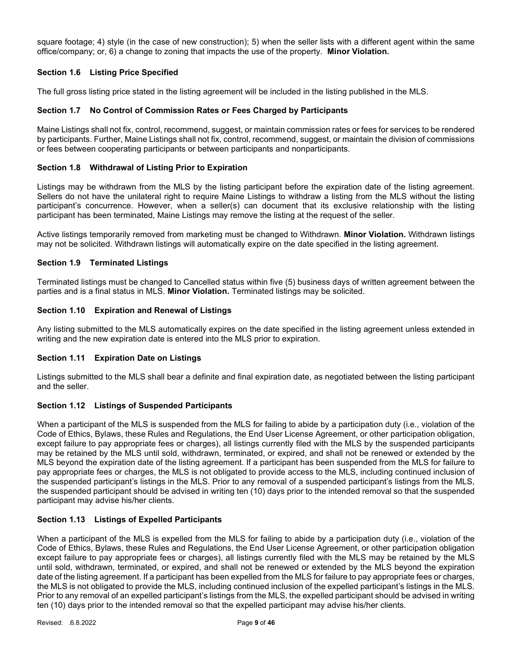square footage; 4) style (in the case of new construction); 5) when the seller lists with a different agent within the same office/company; or, 6) a change to zoning that impacts the use of the property. Minor Violation.

# Section 1.6 Listing Price Specified

The full gross listing price stated in the listing agreement will be included in the listing published in the MLS.

### Section 1.7 No Control of Commission Rates or Fees Charged by Participants

Maine Listings shall not fix, control, recommend, suggest, or maintain commission rates or fees for services to be rendered by participants. Further, Maine Listings shall not fix, control, recommend, suggest, or maintain the division of commissions or fees between cooperating participants or between participants and nonparticipants.

### Section 1.8 Withdrawal of Listing Prior to Expiration

Listings may be withdrawn from the MLS by the listing participant before the expiration date of the listing agreement. Sellers do not have the unilateral right to require Maine Listings to withdraw a listing from the MLS without the listing participant's concurrence. However, when a seller(s) can document that its exclusive relationship with the listing participant has been terminated, Maine Listings may remove the listing at the request of the seller.

Active listings temporarily removed from marketing must be changed to Withdrawn. Minor Violation. Withdrawn listings may not be solicited. Withdrawn listings will automatically expire on the date specified in the listing agreement.

### Section 1.9 Terminated Listings

Terminated listings must be changed to Cancelled status within five (5) business days of written agreement between the parties and is a final status in MLS. Minor Violation. Terminated listings may be solicited.

### Section 1.10 Expiration and Renewal of Listings

Any listing submitted to the MLS automatically expires on the date specified in the listing agreement unless extended in writing and the new expiration date is entered into the MLS prior to expiration.

#### Section 1.11 Expiration Date on Listings

Listings submitted to the MLS shall bear a definite and final expiration date, as negotiated between the listing participant and the seller.

## Section 1.12 Listings of Suspended Participants

When a participant of the MLS is suspended from the MLS for failing to abide by a participation duty (i.e., violation of the Code of Ethics, Bylaws, these Rules and Regulations, the End User License Agreement, or other participation obligation, except failure to pay appropriate fees or charges), all listings currently filed with the MLS by the suspended participants may be retained by the MLS until sold, withdrawn, terminated, or expired, and shall not be renewed or extended by the MLS beyond the expiration date of the listing agreement. If a participant has been suspended from the MLS for failure to pay appropriate fees or charges, the MLS is not obligated to provide access to the MLS, including continued inclusion of the suspended participant's listings in the MLS. Prior to any removal of a suspended participant's listings from the MLS, the suspended participant should be advised in writing ten (10) days prior to the intended removal so that the suspended participant may advise his/her clients.

#### Section 1.13 Listings of Expelled Participants

When a participant of the MLS is expelled from the MLS for failing to abide by a participation duty (i.e., violation of the Code of Ethics, Bylaws, these Rules and Regulations, the End User License Agreement, or other participation obligation except failure to pay appropriate fees or charges), all listings currently filed with the MLS may be retained by the MLS until sold, withdrawn, terminated, or expired, and shall not be renewed or extended by the MLS beyond the expiration date of the listing agreement. If a participant has been expelled from the MLS for failure to pay appropriate fees or charges, the MLS is not obligated to provide the MLS, including continued inclusion of the expelled participant's listings in the MLS. Prior to any removal of an expelled participant's listings from the MLS, the expelled participant should be advised in writing ten (10) days prior to the intended removal so that the expelled participant may advise his/her clients.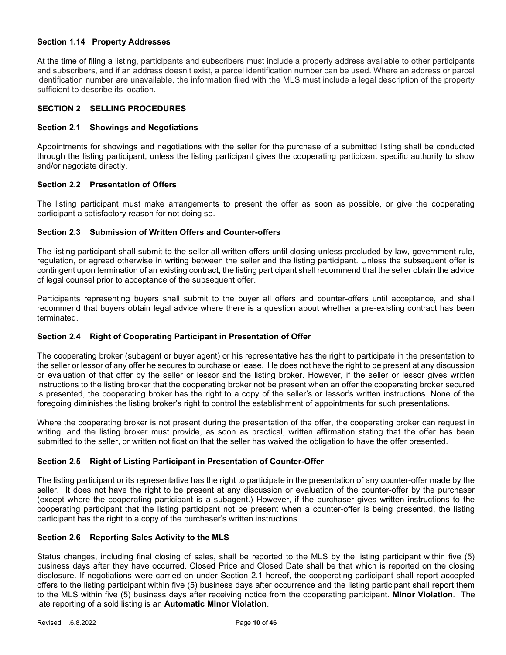## Section 1.14 Property Addresses

At the time of filing a listing, participants and subscribers must include a property address available to other participants and subscribers, and if an address doesn't exist, a parcel identification number can be used. Where an address or parcel identification number are unavailable, the information filed with the MLS must include a legal description of the property sufficient to describe its location.

# SECTION 2 SELLING PROCEDURES

### Section 2.1 Showings and Negotiations

Appointments for showings and negotiations with the seller for the purchase of a submitted listing shall be conducted through the listing participant, unless the listing participant gives the cooperating participant specific authority to show and/or negotiate directly.

### Section 2.2 Presentation of Offers

The listing participant must make arrangements to present the offer as soon as possible, or give the cooperating participant a satisfactory reason for not doing so.

## Section 2.3 Submission of Written Offers and Counter-offers

The listing participant shall submit to the seller all written offers until closing unless precluded by law, government rule, regulation, or agreed otherwise in writing between the seller and the listing participant. Unless the subsequent offer is contingent upon termination of an existing contract, the listing participant shall recommend that the seller obtain the advice of legal counsel prior to acceptance of the subsequent offer.

Participants representing buyers shall submit to the buyer all offers and counter-offers until acceptance, and shall recommend that buyers obtain legal advice where there is a question about whether a pre-existing contract has been terminated.

# Section 2.4 Right of Cooperating Participant in Presentation of Offer

The cooperating broker (subagent or buyer agent) or his representative has the right to participate in the presentation to the seller or lessor of any offer he secures to purchase or lease. He does not have the right to be present at any discussion or evaluation of that offer by the seller or lessor and the listing broker. However, if the seller or lessor gives written instructions to the listing broker that the cooperating broker not be present when an offer the cooperating broker secured is presented, the cooperating broker has the right to a copy of the seller's or lessor's written instructions. None of the foregoing diminishes the listing broker's right to control the establishment of appointments for such presentations.

Where the cooperating broker is not present during the presentation of the offer, the cooperating broker can request in writing, and the listing broker must provide, as soon as practical, written affirmation stating that the offer has been submitted to the seller, or written notification that the seller has waived the obligation to have the offer presented.

## Section 2.5 Right of Listing Participant in Presentation of Counter-Offer

The listing participant or its representative has the right to participate in the presentation of any counter-offer made by the seller. It does not have the right to be present at any discussion or evaluation of the counter-offer by the purchaser (except where the cooperating participant is a subagent.) However, if the purchaser gives written instructions to the cooperating participant that the listing participant not be present when a counter-offer is being presented, the listing participant has the right to a copy of the purchaser's written instructions.

### Section 2.6 Reporting Sales Activity to the MLS

Status changes, including final closing of sales, shall be reported to the MLS by the listing participant within five (5) business days after they have occurred. Closed Price and Closed Date shall be that which is reported on the closing disclosure. If negotiations were carried on under Section 2.1 hereof, the cooperating participant shall report accepted offers to the listing participant within five (5) business days after occurrence and the listing participant shall report them to the MLS within five (5) business days after receiving notice from the cooperating participant. Minor Violation. The late reporting of a sold listing is an Automatic Minor Violation.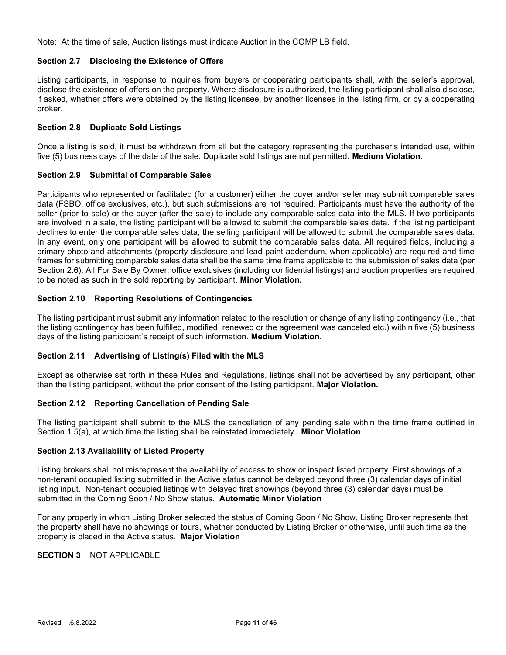Note: At the time of sale, Auction listings must indicate Auction in the COMP LB field.

## Section 2.7 Disclosing the Existence of Offers

Listing participants, in response to inquiries from buyers or cooperating participants shall, with the seller's approval, disclose the existence of offers on the property. Where disclosure is authorized, the listing participant shall also disclose, if asked, whether offers were obtained by the listing licensee, by another licensee in the listing firm, or by a cooperating broker.

## Section 2.8 Duplicate Sold Listings

Once a listing is sold, it must be withdrawn from all but the category representing the purchaser's intended use, within five (5) business days of the date of the sale. Duplicate sold listings are not permitted. Medium Violation.

## Section 2.9 Submittal of Comparable Sales

Participants who represented or facilitated (for a customer) either the buyer and/or seller may submit comparable sales data (FSBO, office exclusives, etc.), but such submissions are not required. Participants must have the authority of the seller (prior to sale) or the buyer (after the sale) to include any comparable sales data into the MLS. If two participants are involved in a sale, the listing participant will be allowed to submit the comparable sales data. If the listing participant declines to enter the comparable sales data, the selling participant will be allowed to submit the comparable sales data. In any event, only one participant will be allowed to submit the comparable sales data. All required fields, including a primary photo and attachments (property disclosure and lead paint addendum, when applicable) are required and time frames for submitting comparable sales data shall be the same time frame applicable to the submission of sales data (per Section 2.6). All For Sale By Owner, office exclusives (including confidential listings) and auction properties are required to be noted as such in the sold reporting by participant. Minor Violation.

## Section 2.10 Reporting Resolutions of Contingencies

The listing participant must submit any information related to the resolution or change of any listing contingency (i.e., that the listing contingency has been fulfilled, modified, renewed or the agreement was canceled etc.) within five (5) business days of the listing participant's receipt of such information. Medium Violation.

## Section 2.11 Advertising of Listing(s) Filed with the MLS

Except as otherwise set forth in these Rules and Regulations, listings shall not be advertised by any participant, other than the listing participant, without the prior consent of the listing participant. Major Violation.

## Section 2.12 Reporting Cancellation of Pending Sale

The listing participant shall submit to the MLS the cancellation of any pending sale within the time frame outlined in Section 1.5(a), at which time the listing shall be reinstated immediately. Minor Violation.

## Section 2.13 Availability of Listed Property

Listing brokers shall not misrepresent the availability of access to show or inspect listed property. First showings of a non-tenant occupied listing submitted in the Active status cannot be delayed beyond three (3) calendar days of initial listing input. Non-tenant occupied listings with delayed first showings (beyond three (3) calendar days) must be submitted in the Coming Soon / No Show status. Automatic Minor Violation

For any property in which Listing Broker selected the status of Coming Soon / No Show, Listing Broker represents that the property shall have no showings or tours, whether conducted by Listing Broker or otherwise, until such time as the property is placed in the Active status. Major Violation

# SECTION 3 NOT APPLICABLE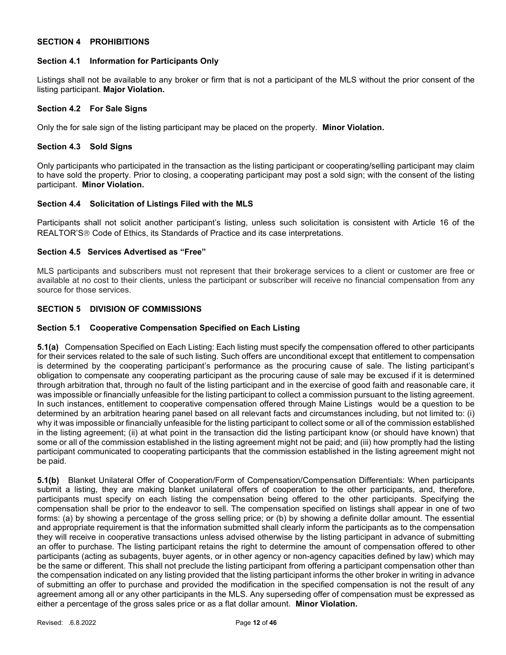## SECTION 4 PROHIBITIONS

### Section 4.1 Information for Participants Only

Listings shall not be available to any broker or firm that is not a participant of the MLS without the prior consent of the listing participant. Major Violation.

# Section 4.2 For Sale Signs

Only the for sale sign of the listing participant may be placed on the property. Minor Violation.

#### Section 4.3 Sold Signs

Only participants who participated in the transaction as the listing participant or cooperating/selling participant may claim to have sold the property. Prior to closing, a cooperating participant may post a sold sign; with the consent of the listing participant. Minor Violation.

# Section 4.4 Solicitation of Listings Filed with the MLS

Participants shall not solicit another participant's listing, unless such solicitation is consistent with Article 16 of the REALTOR'S<sup>®</sup> Code of Ethics, its Standards of Practice and its case interpretations.

## Section 4.5 Services Advertised as "Free"

MLS participants and subscribers must not represent that their brokerage services to a client or customer are free or available at no cost to their clients, unless the participant or subscriber will receive no financial compensation from any source for those services.

# SECTION 5 DIVISION OF COMMISSIONS

#### Section 5.1 Cooperative Compensation Specified on Each Listing

5.1(a) Compensation Specified on Each Listing: Each listing must specify the compensation offered to other participants for their services related to the sale of such listing. Such offers are unconditional except that entitlement to compensation is determined by the cooperating participant's performance as the procuring cause of sale. The listing participant's obligation to compensate any cooperating participant as the procuring cause of sale may be excused if it is determined through arbitration that, through no fault of the listing participant and in the exercise of good faith and reasonable care, it was impossible or financially unfeasible for the listing participant to collect a commission pursuant to the listing agreement. In such instances, entitlement to cooperative compensation offered through Maine Listings would be a question to be determined by an arbitration hearing panel based on all relevant facts and circumstances including, but not limited to: (i) why it was impossible or financially unfeasible for the listing participant to collect some or all of the commission established in the listing agreement; (ii) at what point in the transaction did the listing participant know (or should have known) that some or all of the commission established in the listing agreement might not be paid; and (iii) how promptly had the listing participant communicated to cooperating participants that the commission established in the listing agreement might not be paid.

5.1(b) Blanket Unilateral Offer of Cooperation/Form of Compensation/Compensation Differentials: When participants submit a listing, they are making blanket unilateral offers of cooperation to the other participants, and, therefore, participants must specify on each listing the compensation being offered to the other participants. Specifying the compensation shall be prior to the endeavor to sell. The compensation specified on listings shall appear in one of two forms: (a) by showing a percentage of the gross selling price; or (b) by showing a definite dollar amount. The essential and appropriate requirement is that the information submitted shall clearly inform the participants as to the compensation they will receive in cooperative transactions unless advised otherwise by the listing participant in advance of submitting an offer to purchase. The listing participant retains the right to determine the amount of compensation offered to other participants (acting as subagents, buyer agents, or in other agency or non-agency capacities defined by law) which may be the same or different. This shall not preclude the listing participant from offering a participant compensation other than the compensation indicated on any listing provided that the listing participant informs the other broker in writing in advance of submitting an offer to purchase and provided the modification in the specified compensation is not the result of any agreement among all or any other participants in the MLS. Any superseding offer of compensation must be expressed as either a percentage of the gross sales price or as a flat dollar amount. Minor Violation.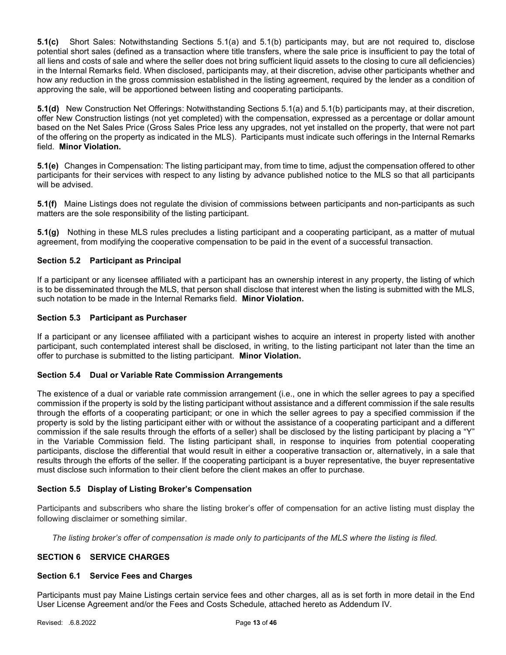5.1(c) Short Sales: Notwithstanding Sections 5.1(a) and 5.1(b) participants may, but are not required to, disclose potential short sales (defined as a transaction where title transfers, where the sale price is insufficient to pay the total of all liens and costs of sale and where the seller does not bring sufficient liquid assets to the closing to cure all deficiencies) in the Internal Remarks field. When disclosed, participants may, at their discretion, advise other participants whether and how any reduction in the gross commission established in the listing agreement, required by the lender as a condition of approving the sale, will be apportioned between listing and cooperating participants.

5.1(d) New Construction Net Offerings: Notwithstanding Sections 5.1(a) and 5.1(b) participants may, at their discretion, offer New Construction listings (not yet completed) with the compensation, expressed as a percentage or dollar amount based on the Net Sales Price (Gross Sales Price less any upgrades, not yet installed on the property, that were not part of the offering on the property as indicated in the MLS). Participants must indicate such offerings in the Internal Remarks field. Minor Violation.

5.1(e) Changes in Compensation: The listing participant may, from time to time, adjust the compensation offered to other participants for their services with respect to any listing by advance published notice to the MLS so that all participants will be advised.

5.1(f) Maine Listings does not regulate the division of commissions between participants and non-participants as such matters are the sole responsibility of the listing participant.

5.1(g) Nothing in these MLS rules precludes a listing participant and a cooperating participant, as a matter of mutual agreement, from modifying the cooperative compensation to be paid in the event of a successful transaction.

## Section 5.2 Participant as Principal

If a participant or any licensee affiliated with a participant has an ownership interest in any property, the listing of which is to be disseminated through the MLS, that person shall disclose that interest when the listing is submitted with the MLS, such notation to be made in the Internal Remarks field. Minor Violation.

#### Section 5.3 Participant as Purchaser

If a participant or any licensee affiliated with a participant wishes to acquire an interest in property listed with another participant, such contemplated interest shall be disclosed, in writing, to the listing participant not later than the time an offer to purchase is submitted to the listing participant. Minor Violation.

## Section 5.4 Dual or Variable Rate Commission Arrangements

The existence of a dual or variable rate commission arrangement (i.e., one in which the seller agrees to pay a specified commission if the property is sold by the listing participant without assistance and a different commission if the sale results through the efforts of a cooperating participant; or one in which the seller agrees to pay a specified commission if the property is sold by the listing participant either with or without the assistance of a cooperating participant and a different commission if the sale results through the efforts of a seller) shall be disclosed by the listing participant by placing a "Y" in the Variable Commission field. The listing participant shall, in response to inquiries from potential cooperating participants, disclose the differential that would result in either a cooperative transaction or, alternatively, in a sale that results through the efforts of the seller. If the cooperating participant is a buyer representative, the buyer representative must disclose such information to their client before the client makes an offer to purchase.

## Section 5.5 Display of Listing Broker's Compensation

Participants and subscribers who share the listing broker's offer of compensation for an active listing must display the following disclaimer or something similar.

The listing broker's offer of compensation is made only to participants of the MLS where the listing is filed.

## SECTION 6 SERVICE CHARGES

#### Section 6.1 Service Fees and Charges

Participants must pay Maine Listings certain service fees and other charges, all as is set forth in more detail in the End User License Agreement and/or the Fees and Costs Schedule, attached hereto as Addendum IV.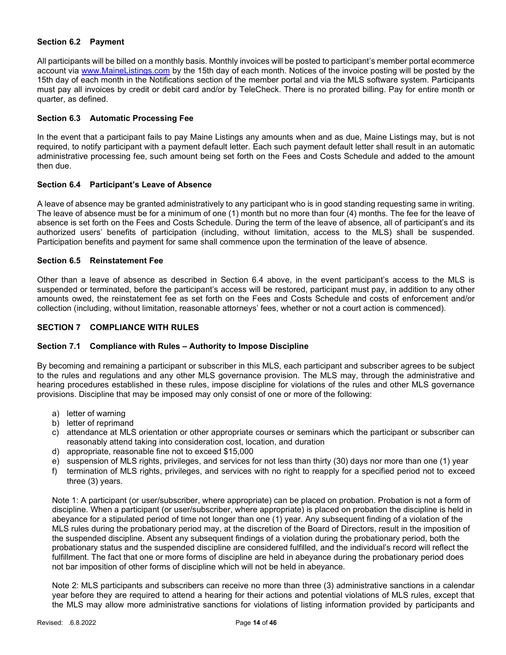## Section 6.2 Payment

All participants will be billed on a monthly basis. Monthly invoices will be posted to participant's member portal ecommerce account via www.MaineListings.com by the 15th day of each month. Notices of the invoice posting will be posted by the 15th day of each month in the Notifications section of the member portal and via the MLS software system. Participants must pay all invoices by credit or debit card and/or by TeleCheck. There is no prorated billing. Pay for entire month or quarter, as defined.

## Section 6.3 Automatic Processing Fee

In the event that a participant fails to pay Maine Listings any amounts when and as due, Maine Listings may, but is not required, to notify participant with a payment default letter. Each such payment default letter shall result in an automatic administrative processing fee, such amount being set forth on the Fees and Costs Schedule and added to the amount then due.

## Section 6.4 Participant's Leave of Absence

A leave of absence may be granted administratively to any participant who is in good standing requesting same in writing. The leave of absence must be for a minimum of one (1) month but no more than four (4) months. The fee for the leave of absence is set forth on the Fees and Costs Schedule. During the term of the leave of absence, all of participant's and its authorized users' benefits of participation (including, without limitation, access to the MLS) shall be suspended. Participation benefits and payment for same shall commence upon the termination of the leave of absence.

## Section 6.5 Reinstatement Fee

Other than a leave of absence as described in Section 6.4 above, in the event participant's access to the MLS is suspended or terminated, before the participant's access will be restored, participant must pay, in addition to any other amounts owed, the reinstatement fee as set forth on the Fees and Costs Schedule and costs of enforcement and/or collection (including, without limitation, reasonable attorneys' fees, whether or not a court action is commenced).

# SECTION 7 COMPLIANCE WITH RULES

## Section 7.1 Compliance with Rules – Authority to Impose Discipline

By becoming and remaining a participant or subscriber in this MLS, each participant and subscriber agrees to be subject to the rules and regulations and any other MLS governance provision. The MLS may, through the administrative and hearing procedures established in these rules, impose discipline for violations of the rules and other MLS governance provisions. Discipline that may be imposed may only consist of one or more of the following:

- a) letter of warning
- b) letter of reprimand
- c) attendance at MLS orientation or other appropriate courses or seminars which the participant or subscriber can reasonably attend taking into consideration cost, location, and duration
- d) appropriate, reasonable fine not to exceed \$15,000
- e) suspension of MLS rights, privileges, and services for not less than thirty (30) days nor more than one (1) year
- f) termination of MLS rights, privileges, and services with no right to reapply for a specified period not to exceed three (3) years.

Note 1: A participant (or user/subscriber, where appropriate) can be placed on probation. Probation is not a form of discipline. When a participant (or user/subscriber, where appropriate) is placed on probation the discipline is held in abeyance for a stipulated period of time not longer than one (1) year. Any subsequent finding of a violation of the MLS rules during the probationary period may, at the discretion of the Board of Directors, result in the imposition of the suspended discipline. Absent any subsequent findings of a violation during the probationary period, both the probationary status and the suspended discipline are considered fulfilled, and the individual's record will reflect the fulfillment. The fact that one or more forms of discipline are held in abeyance during the probationary period does not bar imposition of other forms of discipline which will not be held in abeyance.

Note 2: MLS participants and subscribers can receive no more than three (3) administrative sanctions in a calendar year before they are required to attend a hearing for their actions and potential violations of MLS rules, except that the MLS may allow more administrative sanctions for violations of listing information provided by participants and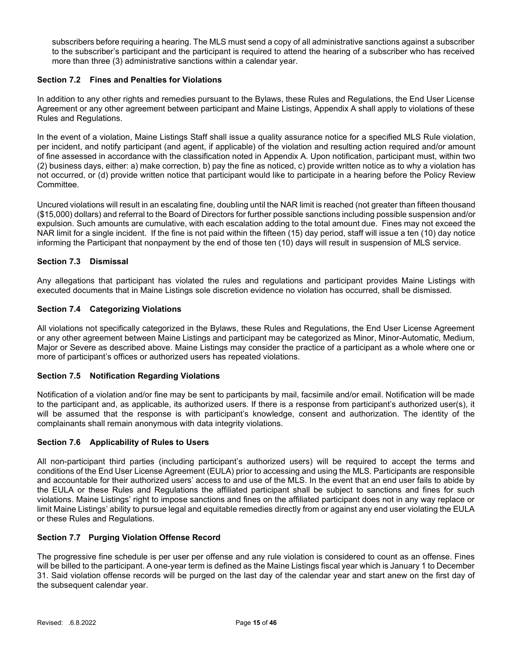subscribers before requiring a hearing. The MLS must send a copy of all administrative sanctions against a subscriber to the subscriber's participant and the participant is required to attend the hearing of a subscriber who has received more than three (3) administrative sanctions within a calendar year.

# Section 7.2 Fines and Penalties for Violations

In addition to any other rights and remedies pursuant to the Bylaws, these Rules and Regulations, the End User License Agreement or any other agreement between participant and Maine Listings, Appendix A shall apply to violations of these Rules and Regulations.

In the event of a violation, Maine Listings Staff shall issue a quality assurance notice for a specified MLS Rule violation, per incident, and notify participant (and agent, if applicable) of the violation and resulting action required and/or amount of fine assessed in accordance with the classification noted in Appendix A. Upon notification, participant must, within two (2) business days, either: a) make correction, b) pay the fine as noticed, c) provide written notice as to why a violation has not occurred, or (d) provide written notice that participant would like to participate in a hearing before the Policy Review Committee.

Uncured violations will result in an escalating fine, doubling until the NAR limit is reached (not greater than fifteen thousand (\$15,000) dollars) and referral to the Board of Directors for further possible sanctions including possible suspension and/or expulsion. Such amounts are cumulative, with each escalation adding to the total amount due. Fines may not exceed the NAR limit for a single incident. If the fine is not paid within the fifteen (15) day period, staff will issue a ten (10) day notice informing the Participant that nonpayment by the end of those ten (10) days will result in suspension of MLS service.

# Section 7.3 Dismissal

Any allegations that participant has violated the rules and regulations and participant provides Maine Listings with executed documents that in Maine Listings sole discretion evidence no violation has occurred, shall be dismissed.

## Section 7.4 Categorizing Violations

All violations not specifically categorized in the Bylaws, these Rules and Regulations, the End User License Agreement or any other agreement between Maine Listings and participant may be categorized as Minor, Minor-Automatic, Medium, Major or Severe as described above. Maine Listings may consider the practice of a participant as a whole where one or more of participant's offices or authorized users has repeated violations.

## Section 7.5 Notification Regarding Violations

Notification of a violation and/or fine may be sent to participants by mail, facsimile and/or email. Notification will be made to the participant and, as applicable, its authorized users. If there is a response from participant's authorized user(s), it will be assumed that the response is with participant's knowledge, consent and authorization. The identity of the complainants shall remain anonymous with data integrity violations.

## Section 7.6 Applicability of Rules to Users

All non-participant third parties (including participant's authorized users) will be required to accept the terms and conditions of the End User License Agreement (EULA) prior to accessing and using the MLS. Participants are responsible and accountable for their authorized users' access to and use of the MLS. In the event that an end user fails to abide by the EULA or these Rules and Regulations the affiliated participant shall be subject to sanctions and fines for such violations. Maine Listings' right to impose sanctions and fines on the affiliated participant does not in any way replace or limit Maine Listings' ability to pursue legal and equitable remedies directly from or against any end user violating the EULA or these Rules and Regulations.

## Section 7.7 Purging Violation Offense Record

The progressive fine schedule is per user per offense and any rule violation is considered to count as an offense. Fines will be billed to the participant. A one-year term is defined as the Maine Listings fiscal year which is January 1 to December 31. Said violation offense records will be purged on the last day of the calendar year and start anew on the first day of the subsequent calendar year.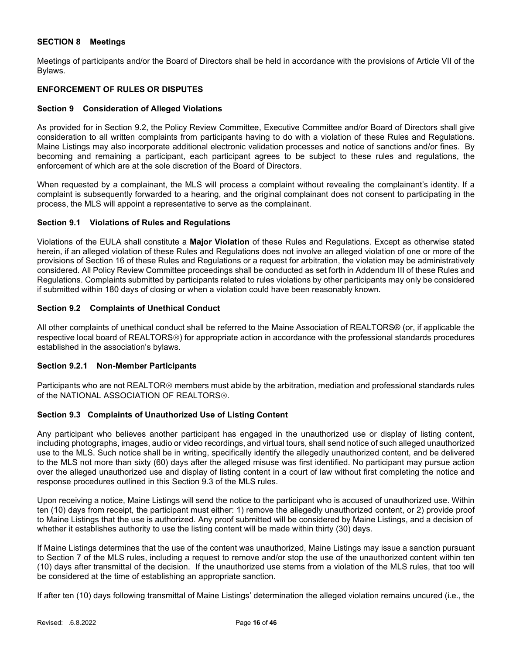# SECTION 8 Meetings

Meetings of participants and/or the Board of Directors shall be held in accordance with the provisions of Article VII of the Bylaws.

# ENFORCEMENT OF RULES OR DISPUTES

## Section 9 Consideration of Alleged Violations

As provided for in Section 9.2, the Policy Review Committee, Executive Committee and/or Board of Directors shall give consideration to all written complaints from participants having to do with a violation of these Rules and Regulations. Maine Listings may also incorporate additional electronic validation processes and notice of sanctions and/or fines. By becoming and remaining a participant, each participant agrees to be subject to these rules and regulations, the enforcement of which are at the sole discretion of the Board of Directors.

When requested by a complainant, the MLS will process a complaint without revealing the complainant's identity. If a complaint is subsequently forwarded to a hearing, and the original complainant does not consent to participating in the process, the MLS will appoint a representative to serve as the complainant.

### Section 9.1 Violations of Rules and Regulations

Violations of the EULA shall constitute a Major Violation of these Rules and Regulations. Except as otherwise stated herein, if an alleged violation of these Rules and Regulations does not involve an alleged violation of one or more of the provisions of Section 16 of these Rules and Regulations or a request for arbitration, the violation may be administratively considered. All Policy Review Committee proceedings shall be conducted as set forth in Addendum III of these Rules and Regulations. Complaints submitted by participants related to rules violations by other participants may only be considered if submitted within 180 days of closing or when a violation could have been reasonably known.

## Section 9.2 Complaints of Unethical Conduct

All other complaints of unethical conduct shall be referred to the Maine Association of REALTORS® (or, if applicable the respective local board of REALTORS®) for appropriate action in accordance with the professional standards procedures established in the association's bylaws.

## Section 9.2.1 Non-Member Participants

Participants who are not REALTOR<sup>®</sup> members must abide by the arbitration, mediation and professional standards rules of the NATIONAL ASSOCIATION OF REALTORS®.

## Section 9.3 Complaints of Unauthorized Use of Listing Content

Any participant who believes another participant has engaged in the unauthorized use or display of listing content, including photographs, images, audio or video recordings, and virtual tours, shall send notice of such alleged unauthorized use to the MLS. Such notice shall be in writing, specifically identify the allegedly unauthorized content, and be delivered to the MLS not more than sixty (60) days after the alleged misuse was first identified. No participant may pursue action over the alleged unauthorized use and display of listing content in a court of law without first completing the notice and response procedures outlined in this Section 9.3 of the MLS rules.

Upon receiving a notice, Maine Listings will send the notice to the participant who is accused of unauthorized use. Within ten (10) days from receipt, the participant must either: 1) remove the allegedly unauthorized content, or 2) provide proof to Maine Listings that the use is authorized. Any proof submitted will be considered by Maine Listings, and a decision of whether it establishes authority to use the listing content will be made within thirty (30) days.

If Maine Listings determines that the use of the content was unauthorized, Maine Listings may issue a sanction pursuant to Section 7 of the MLS rules, including a request to remove and/or stop the use of the unauthorized content within ten (10) days after transmittal of the decision. If the unauthorized use stems from a violation of the MLS rules, that too will be considered at the time of establishing an appropriate sanction.

If after ten (10) days following transmittal of Maine Listings' determination the alleged violation remains uncured (i.e., the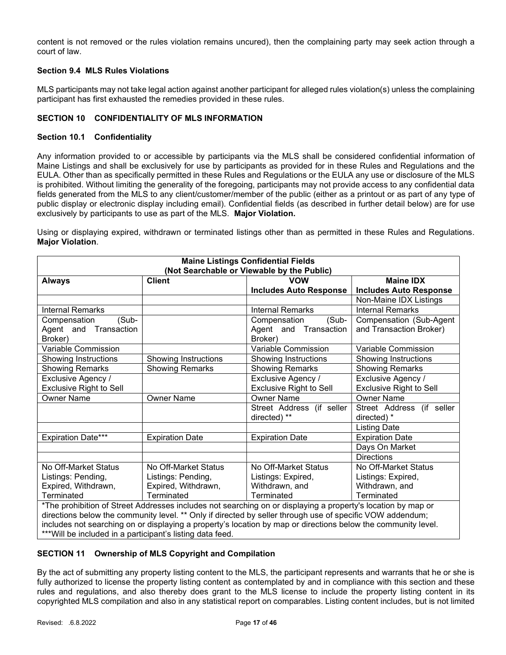content is not removed or the rules violation remains uncured), then the complaining party may seek action through a court of law.

## Section 9.4 MLS Rules Violations

MLS participants may not take legal action against another participant for alleged rules violation(s) unless the complaining participant has first exhausted the remedies provided in these rules.

# SECTION 10 CONFIDENTIALITY OF MLS INFORMATION

## Section 10.1 Confidentiality

Any information provided to or accessible by participants via the MLS shall be considered confidential information of Maine Listings and shall be exclusively for use by participants as provided for in these Rules and Regulations and the EULA. Other than as specifically permitted in these Rules and Regulations or the EULA any use or disclosure of the MLS is prohibited. Without limiting the generality of the foregoing, participants may not provide access to any confidential data fields generated from the MLS to any client/customer/member of the public (either as a printout or as part of any type of public display or electronic display including email). Confidential fields (as described in further detail below) are for use exclusively by participants to use as part of the MLS. Major Violation.

Using or displaying expired, withdrawn or terminated listings other than as permitted in these Rules and Regulations. Major Violation.

| <b>Maine Listings Confidential Fields</b><br>(Not Searchable or Viewable by the Public)                   |                                        |                                                                                                               |                               |  |  |
|-----------------------------------------------------------------------------------------------------------|----------------------------------------|---------------------------------------------------------------------------------------------------------------|-------------------------------|--|--|
| <b>Client</b><br><b>VOW</b><br><b>Maine IDX</b><br><b>Always</b>                                          |                                        |                                                                                                               |                               |  |  |
|                                                                                                           |                                        | <b>Includes Auto Response</b>                                                                                 | <b>Includes Auto Response</b> |  |  |
|                                                                                                           |                                        |                                                                                                               | Non-Maine IDX Listings        |  |  |
| <b>Internal Remarks</b>                                                                                   |                                        | <b>Internal Remarks</b>                                                                                       | <b>Internal Remarks</b>       |  |  |
| (Sub-<br>Compensation                                                                                     |                                        | (Sub-<br>Compensation                                                                                         | Compensation (Sub-Agent       |  |  |
| Agent and Transaction                                                                                     |                                        | Agent and Transaction                                                                                         | and Transaction Broker)       |  |  |
| Broker)                                                                                                   |                                        | Broker)                                                                                                       |                               |  |  |
| Variable Commission                                                                                       |                                        | Variable Commission                                                                                           | Variable Commission           |  |  |
| Showing Instructions                                                                                      | Showing Instructions                   | <b>Showing Instructions</b>                                                                                   | Showing Instructions          |  |  |
| <b>Showing Remarks</b>                                                                                    | <b>Showing Remarks</b>                 | <b>Showing Remarks</b>                                                                                        | <b>Showing Remarks</b>        |  |  |
| Exclusive Agency /<br>Exclusive Agency /<br>Exclusive Agency /                                            |                                        |                                                                                                               |                               |  |  |
| <b>Exclusive Right to Sell</b><br><b>Exclusive Right to Sell</b><br><b>Exclusive Right to Sell</b>        |                                        |                                                                                                               |                               |  |  |
| <b>Owner Name</b><br><b>Owner Name</b><br><b>Owner Name</b><br><b>Owner Name</b>                          |                                        |                                                                                                               |                               |  |  |
| Street Address (if seller                                                                                 |                                        | Street Address (if seller                                                                                     |                               |  |  |
| directed) **<br>directed) *                                                                               |                                        |                                                                                                               |                               |  |  |
|                                                                                                           |                                        |                                                                                                               | <b>Listing Date</b>           |  |  |
| <b>Expiration Date***</b>                                                                                 | <b>Expiration Date</b>                 | <b>Expiration Date</b>                                                                                        | <b>Expiration Date</b>        |  |  |
|                                                                                                           |                                        |                                                                                                               | Days On Market                |  |  |
|                                                                                                           |                                        |                                                                                                               | <b>Directions</b>             |  |  |
| No Off-Market Status                                                                                      | No Off-Market Status                   | No Off-Market Status                                                                                          | No Off-Market Status          |  |  |
| Listings: Pending,                                                                                        | Listings: Pending,                     | Listings: Expired,                                                                                            | Listings: Expired,            |  |  |
| Expired, Withdrawn,                                                                                       | Expired, Withdrawn,                    | Withdrawn, and                                                                                                | Withdrawn, and                |  |  |
| Terminated                                                                                                | Terminated<br>Terminated<br>Terminated |                                                                                                               |                               |  |  |
|                                                                                                           |                                        | *The prohibition of Street Addresses includes not searching on or displaying a property's location by map or  |                               |  |  |
| directions below the community level. ** Only if directed by seller through use of specific VOW addendum; |                                        |                                                                                                               |                               |  |  |
|                                                                                                           |                                        | includes not searching on or displaying a property's location by map or directions below the community level. |                               |  |  |
| *** Will be included in a participant's listing data feed.                                                |                                        |                                                                                                               |                               |  |  |

## SECTION 11 Ownership of MLS Copyright and Compilation

By the act of submitting any property listing content to the MLS, the participant represents and warrants that he or she is fully authorized to license the property listing content as contemplated by and in compliance with this section and these rules and regulations, and also thereby does grant to the MLS license to include the property listing content in its copyrighted MLS compilation and also in any statistical report on comparables. Listing content includes, but is not limited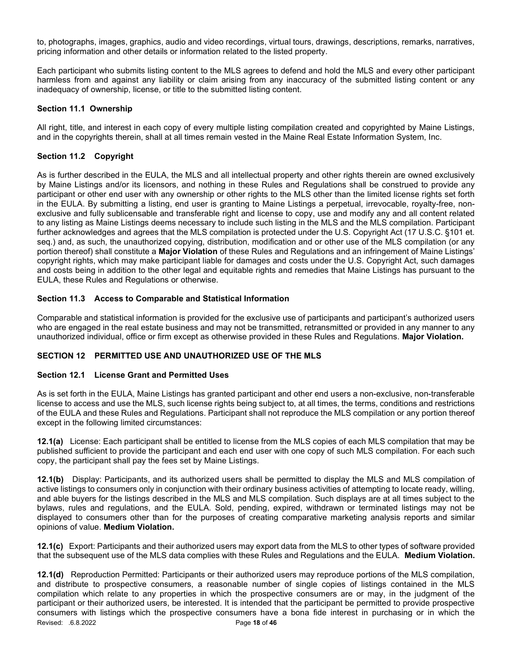to, photographs, images, graphics, audio and video recordings, virtual tours, drawings, descriptions, remarks, narratives, pricing information and other details or information related to the listed property.

Each participant who submits listing content to the MLS agrees to defend and hold the MLS and every other participant harmless from and against any liability or claim arising from any inaccuracy of the submitted listing content or any inadequacy of ownership, license, or title to the submitted listing content.

# Section 11.1 Ownership

All right, title, and interest in each copy of every multiple listing compilation created and copyrighted by Maine Listings, and in the copyrights therein, shall at all times remain vested in the Maine Real Estate Information System, Inc.

# Section 11.2 Copyright

As is further described in the EULA, the MLS and all intellectual property and other rights therein are owned exclusively by Maine Listings and/or its licensors, and nothing in these Rules and Regulations shall be construed to provide any participant or other end user with any ownership or other rights to the MLS other than the limited license rights set forth in the EULA. By submitting a listing, end user is granting to Maine Listings a perpetual, irrevocable, royalty-free, nonexclusive and fully sublicensable and transferable right and license to copy, use and modify any and all content related to any listing as Maine Listings deems necessary to include such listing in the MLS and the MLS compilation. Participant further acknowledges and agrees that the MLS compilation is protected under the U.S. Copyright Act (17 U.S.C. §101 et. seq.) and, as such, the unauthorized copying, distribution, modification and or other use of the MLS compilation (or any portion thereof) shall constitute a **Major Violation** of these Rules and Regulations and an infringement of Maine Listings' copyright rights, which may make participant liable for damages and costs under the U.S. Copyright Act, such damages and costs being in addition to the other legal and equitable rights and remedies that Maine Listings has pursuant to the EULA, these Rules and Regulations or otherwise.

# Section 11.3 Access to Comparable and Statistical Information

Comparable and statistical information is provided for the exclusive use of participants and participant's authorized users who are engaged in the real estate business and may not be transmitted, retransmitted or provided in any manner to any unauthorized individual, office or firm except as otherwise provided in these Rules and Regulations. Major Violation.

# SECTION 12 PERMITTED USE AND UNAUTHORIZED USE OF THE MLS

# Section 12.1 License Grant and Permitted Uses

As is set forth in the EULA, Maine Listings has granted participant and other end users a non-exclusive, non-transferable license to access and use the MLS, such license rights being subject to, at all times, the terms, conditions and restrictions of the EULA and these Rules and Regulations. Participant shall not reproduce the MLS compilation or any portion thereof except in the following limited circumstances:

12.1(a) License: Each participant shall be entitled to license from the MLS copies of each MLS compilation that may be published sufficient to provide the participant and each end user with one copy of such MLS compilation. For each such copy, the participant shall pay the fees set by Maine Listings.

12.1(b) Display: Participants, and its authorized users shall be permitted to display the MLS and MLS compilation of active listings to consumers only in conjunction with their ordinary business activities of attempting to locate ready, willing, and able buyers for the listings described in the MLS and MLS compilation. Such displays are at all times subject to the bylaws, rules and regulations, and the EULA. Sold, pending, expired, withdrawn or terminated listings may not be displayed to consumers other than for the purposes of creating comparative marketing analysis reports and similar opinions of value. Medium Violation.

12.1(c) Export: Participants and their authorized users may export data from the MLS to other types of software provided that the subsequent use of the MLS data complies with these Rules and Regulations and the EULA. Medium Violation.

Revised: .6.8.2022 **Page 18 of 46** 12.1(d) Reproduction Permitted: Participants or their authorized users may reproduce portions of the MLS compilation, and distribute to prospective consumers, a reasonable number of single copies of listings contained in the MLS compilation which relate to any properties in which the prospective consumers are or may, in the judgment of the participant or their authorized users, be interested. It is intended that the participant be permitted to provide prospective consumers with listings which the prospective consumers have a bona fide interest in purchasing or in which the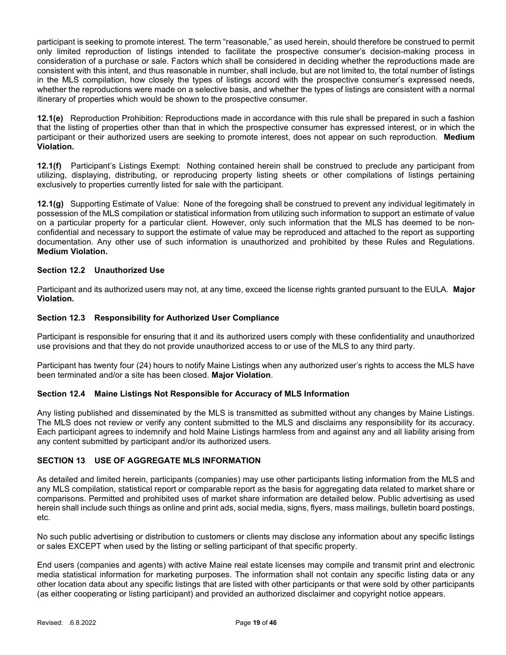participant is seeking to promote interest. The term "reasonable," as used herein, should therefore be construed to permit only limited reproduction of listings intended to facilitate the prospective consumer's decision-making process in consideration of a purchase or sale. Factors which shall be considered in deciding whether the reproductions made are consistent with this intent, and thus reasonable in number, shall include, but are not limited to, the total number of listings in the MLS compilation, how closely the types of listings accord with the prospective consumer's expressed needs, whether the reproductions were made on a selective basis, and whether the types of listings are consistent with a normal itinerary of properties which would be shown to the prospective consumer.

12.1(e) Reproduction Prohibition: Reproductions made in accordance with this rule shall be prepared in such a fashion that the listing of properties other than that in which the prospective consumer has expressed interest, or in which the participant or their authorized users are seeking to promote interest, does not appear on such reproduction. Medium Violation.

12.1(f) Participant's Listings Exempt: Nothing contained herein shall be construed to preclude any participant from utilizing, displaying, distributing, or reproducing property listing sheets or other compilations of listings pertaining exclusively to properties currently listed for sale with the participant.

12.1(g) Supporting Estimate of Value: None of the foregoing shall be construed to prevent any individual legitimately in possession of the MLS compilation or statistical information from utilizing such information to support an estimate of value on a particular property for a particular client. However, only such information that the MLS has deemed to be nonconfidential and necessary to support the estimate of value may be reproduced and attached to the report as supporting documentation. Any other use of such information is unauthorized and prohibited by these Rules and Regulations. Medium Violation.

# Section 12.2 Unauthorized Use

Participant and its authorized users may not, at any time, exceed the license rights granted pursuant to the EULA. Major Violation.

## Section 12.3 Responsibility for Authorized User Compliance

Participant is responsible for ensuring that it and its authorized users comply with these confidentiality and unauthorized use provisions and that they do not provide unauthorized access to or use of the MLS to any third party.

Participant has twenty four (24) hours to notify Maine Listings when any authorized user's rights to access the MLS have been terminated and/or a site has been closed. Major Violation.

# Section 12.4 Maine Listings Not Responsible for Accuracy of MLS Information

Any listing published and disseminated by the MLS is transmitted as submitted without any changes by Maine Listings. The MLS does not review or verify any content submitted to the MLS and disclaims any responsibility for its accuracy. Each participant agrees to indemnify and hold Maine Listings harmless from and against any and all liability arising from any content submitted by participant and/or its authorized users.

## SECTION 13 USE OF AGGREGATE MLS INFORMATION

As detailed and limited herein, participants (companies) may use other participants listing information from the MLS and any MLS compilation, statistical report or comparable report as the basis for aggregating data related to market share or comparisons. Permitted and prohibited uses of market share information are detailed below. Public advertising as used herein shall include such things as online and print ads, social media, signs, flyers, mass mailings, bulletin board postings, etc.

No such public advertising or distribution to customers or clients may disclose any information about any specific listings or sales EXCEPT when used by the listing or selling participant of that specific property.

End users (companies and agents) with active Maine real estate licenses may compile and transmit print and electronic media statistical information for marketing purposes. The information shall not contain any specific listing data or any other location data about any specific listings that are listed with other participants or that were sold by other participants (as either cooperating or listing participant) and provided an authorized disclaimer and copyright notice appears.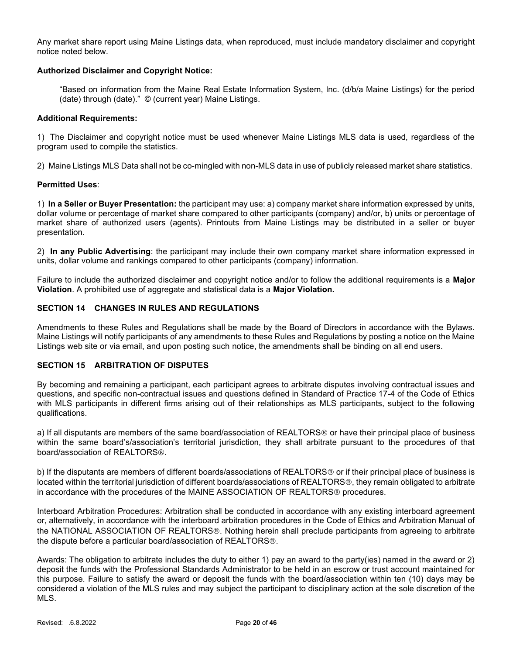Any market share report using Maine Listings data, when reproduced, must include mandatory disclaimer and copyright notice noted below.

# Authorized Disclaimer and Copyright Notice:

"Based on information from the Maine Real Estate Information System, Inc. (d/b/a Maine Listings) for the period (date) through (date)." © (current year) Maine Listings.

### Additional Requirements:

1) The Disclaimer and copyright notice must be used whenever Maine Listings MLS data is used, regardless of the program used to compile the statistics.

2) Maine Listings MLS Data shall not be co-mingled with non-MLS data in use of publicly released market share statistics.

## Permitted Uses:

1) In a Seller or Buyer Presentation: the participant may use: a) company market share information expressed by units, dollar volume or percentage of market share compared to other participants (company) and/or, b) units or percentage of market share of authorized users (agents). Printouts from Maine Listings may be distributed in a seller or buyer presentation.

2) In any Public Advertising: the participant may include their own company market share information expressed in units, dollar volume and rankings compared to other participants (company) information.

Failure to include the authorized disclaimer and copyright notice and/or to follow the additional requirements is a Major Violation. A prohibited use of aggregate and statistical data is a Major Violation.

# SECTION 14 CHANGES IN RULES AND REGULATIONS

Amendments to these Rules and Regulations shall be made by the Board of Directors in accordance with the Bylaws. Maine Listings will notify participants of any amendments to these Rules and Regulations by posting a notice on the Maine Listings web site or via email, and upon posting such notice, the amendments shall be binding on all end users.

# SECTION 15 ARBITRATION OF DISPUTES

By becoming and remaining a participant, each participant agrees to arbitrate disputes involving contractual issues and questions, and specific non-contractual issues and questions defined in Standard of Practice 17-4 of the Code of Ethics with MLS participants in different firms arising out of their relationships as MLS participants, subject to the following qualifications.

a) If all disputants are members of the same board/association of REALTORS<sup>®</sup> or have their principal place of business within the same board's/association's territorial jurisdiction, they shall arbitrate pursuant to the procedures of that board/association of REALTORS®.

b) If the disputants are members of different boards/associations of REALTORS<sup>®</sup> or if their principal place of business is located within the territorial jurisdiction of different boards/associations of REALTORS®, they remain obligated to arbitrate in accordance with the procedures of the MAINE ASSOCIATION OF REALTORS<sup>®</sup> procedures.

Interboard Arbitration Procedures: Arbitration shall be conducted in accordance with any existing interboard agreement or, alternatively, in accordance with the interboard arbitration procedures in the Code of Ethics and Arbitration Manual of the NATIONAL ASSOCIATION OF REALTORS<sup>®</sup>. Nothing herein shall preclude participants from agreeing to arbitrate the dispute before a particular board/association of REALTORS®.

Awards: The obligation to arbitrate includes the duty to either 1) pay an award to the party(ies) named in the award or 2) deposit the funds with the Professional Standards Administrator to be held in an escrow or trust account maintained for this purpose. Failure to satisfy the award or deposit the funds with the board/association within ten (10) days may be considered a violation of the MLS rules and may subject the participant to disciplinary action at the sole discretion of the MLS.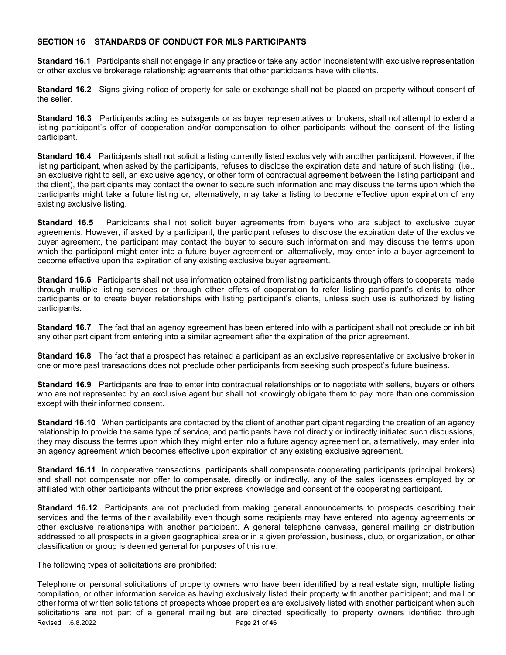# SECTION 16 STANDARDS OF CONDUCT FOR MLS PARTICIPANTS

Standard 16.1 Participants shall not engage in any practice or take any action inconsistent with exclusive representation or other exclusive brokerage relationship agreements that other participants have with clients.

Standard 16.2 Signs giving notice of property for sale or exchange shall not be placed on property without consent of the seller.

Standard 16.3 Participants acting as subagents or as buyer representatives or brokers, shall not attempt to extend a listing participant's offer of cooperation and/or compensation to other participants without the consent of the listing participant.

Standard 16.4 Participants shall not solicit a listing currently listed exclusively with another participant. However, if the listing participant, when asked by the participants, refuses to disclose the expiration date and nature of such listing; (i.e., an exclusive right to sell, an exclusive agency, or other form of contractual agreement between the listing participant and the client), the participants may contact the owner to secure such information and may discuss the terms upon which the participants might take a future listing or, alternatively, may take a listing to become effective upon expiration of any existing exclusive listing.

Standard 16.5 Participants shall not solicit buyer agreements from buyers who are subject to exclusive buyer agreements. However, if asked by a participant, the participant refuses to disclose the expiration date of the exclusive buyer agreement, the participant may contact the buyer to secure such information and may discuss the terms upon which the participant might enter into a future buyer agreement or, alternatively, may enter into a buyer agreement to become effective upon the expiration of any existing exclusive buyer agreement.

Standard 16.6 Participants shall not use information obtained from listing participants through offers to cooperate made through multiple listing services or through other offers of cooperation to refer listing participant's clients to other participants or to create buyer relationships with listing participant's clients, unless such use is authorized by listing participants.

Standard 16.7 The fact that an agency agreement has been entered into with a participant shall not preclude or inhibit any other participant from entering into a similar agreement after the expiration of the prior agreement.

Standard 16.8 The fact that a prospect has retained a participant as an exclusive representative or exclusive broker in one or more past transactions does not preclude other participants from seeking such prospect's future business.

Standard 16.9 Participants are free to enter into contractual relationships or to negotiate with sellers, buyers or others who are not represented by an exclusive agent but shall not knowingly obligate them to pay more than one commission except with their informed consent.

Standard 16.10 When participants are contacted by the client of another participant regarding the creation of an agency relationship to provide the same type of service, and participants have not directly or indirectly initiated such discussions, they may discuss the terms upon which they might enter into a future agency agreement or, alternatively, may enter into an agency agreement which becomes effective upon expiration of any existing exclusive agreement.

Standard 16.11 In cooperative transactions, participants shall compensate cooperating participants (principal brokers) and shall not compensate nor offer to compensate, directly or indirectly, any of the sales licensees employed by or affiliated with other participants without the prior express knowledge and consent of the cooperating participant.

Standard 16.12 Participants are not precluded from making general announcements to prospects describing their services and the terms of their availability even though some recipients may have entered into agency agreements or other exclusive relationships with another participant. A general telephone canvass, general mailing or distribution addressed to all prospects in a given geographical area or in a given profession, business, club, or organization, or other classification or group is deemed general for purposes of this rule.

The following types of solicitations are prohibited:

Revised: .6.8.2022 **Page 21 of 46** Telephone or personal solicitations of property owners who have been identified by a real estate sign, multiple listing compilation, or other information service as having exclusively listed their property with another participant; and mail or other forms of written solicitations of prospects whose properties are exclusively listed with another participant when such solicitations are not part of a general mailing but are directed specifically to property owners identified through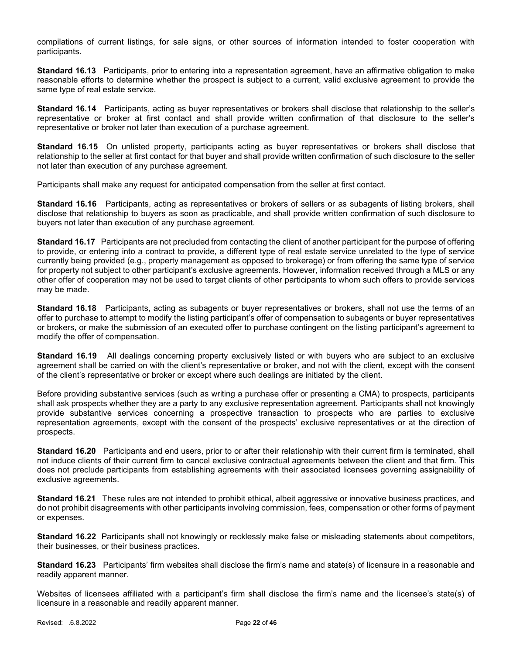compilations of current listings, for sale signs, or other sources of information intended to foster cooperation with participants.

Standard 16.13 Participants, prior to entering into a representation agreement, have an affirmative obligation to make reasonable efforts to determine whether the prospect is subject to a current, valid exclusive agreement to provide the same type of real estate service.

Standard 16.14 Participants, acting as buyer representatives or brokers shall disclose that relationship to the seller's representative or broker at first contact and shall provide written confirmation of that disclosure to the seller's representative or broker not later than execution of a purchase agreement.

Standard 16.15 On unlisted property, participants acting as buyer representatives or brokers shall disclose that relationship to the seller at first contact for that buyer and shall provide written confirmation of such disclosure to the seller not later than execution of any purchase agreement.

Participants shall make any request for anticipated compensation from the seller at first contact.

Standard 16.16 Participants, acting as representatives or brokers of sellers or as subagents of listing brokers, shall disclose that relationship to buyers as soon as practicable, and shall provide written confirmation of such disclosure to buyers not later than execution of any purchase agreement.

Standard 16.17 Participants are not precluded from contacting the client of another participant for the purpose of offering to provide, or entering into a contract to provide, a different type of real estate service unrelated to the type of service currently being provided (e.g., property management as opposed to brokerage) or from offering the same type of service for property not subject to other participant's exclusive agreements. However, information received through a MLS or any other offer of cooperation may not be used to target clients of other participants to whom such offers to provide services may be made.

Standard 16.18 Participants, acting as subagents or buyer representatives or brokers, shall not use the terms of an offer to purchase to attempt to modify the listing participant's offer of compensation to subagents or buyer representatives or brokers, or make the submission of an executed offer to purchase contingent on the listing participant's agreement to modify the offer of compensation.

Standard 16.19 All dealings concerning property exclusively listed or with buyers who are subject to an exclusive agreement shall be carried on with the client's representative or broker, and not with the client, except with the consent of the client's representative or broker or except where such dealings are initiated by the client.

Before providing substantive services (such as writing a purchase offer or presenting a CMA) to prospects, participants shall ask prospects whether they are a party to any exclusive representation agreement. Participants shall not knowingly provide substantive services concerning a prospective transaction to prospects who are parties to exclusive representation agreements, except with the consent of the prospects' exclusive representatives or at the direction of prospects.

Standard 16.20 Participants and end users, prior to or after their relationship with their current firm is terminated, shall not induce clients of their current firm to cancel exclusive contractual agreements between the client and that firm. This does not preclude participants from establishing agreements with their associated licensees governing assignability of exclusive agreements.

Standard 16.21 These rules are not intended to prohibit ethical, albeit aggressive or innovative business practices, and do not prohibit disagreements with other participants involving commission, fees, compensation or other forms of payment or expenses.

Standard 16.22 Participants shall not knowingly or recklessly make false or misleading statements about competitors, their businesses, or their business practices.

Standard 16.23 Participants' firm websites shall disclose the firm's name and state(s) of licensure in a reasonable and readily apparent manner.

Websites of licensees affiliated with a participant's firm shall disclose the firm's name and the licensee's state(s) of licensure in a reasonable and readily apparent manner.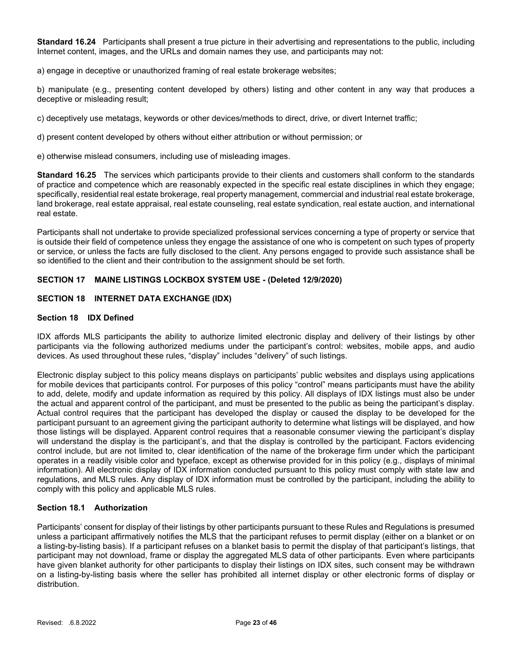Standard 16.24 Participants shall present a true picture in their advertising and representations to the public, including Internet content, images, and the URLs and domain names they use, and participants may not:

a) engage in deceptive or unauthorized framing of real estate brokerage websites;

b) manipulate (e.g., presenting content developed by others) listing and other content in any way that produces a deceptive or misleading result;

c) deceptively use metatags, keywords or other devices/methods to direct, drive, or divert Internet traffic;

d) present content developed by others without either attribution or without permission; or

e) otherwise mislead consumers, including use of misleading images.

Standard 16.25 The services which participants provide to their clients and customers shall conform to the standards of practice and competence which are reasonably expected in the specific real estate disciplines in which they engage; specifically, residential real estate brokerage, real property management, commercial and industrial real estate brokerage, land brokerage, real estate appraisal, real estate counseling, real estate syndication, real estate auction, and international real estate.

Participants shall not undertake to provide specialized professional services concerning a type of property or service that is outside their field of competence unless they engage the assistance of one who is competent on such types of property or service, or unless the facts are fully disclosed to the client. Any persons engaged to provide such assistance shall be so identified to the client and their contribution to the assignment should be set forth.

# SECTION 17 MAINE LISTINGS LOCKBOX SYSTEM USE - (Deleted 12/9/2020)

## SECTION 18 INTERNET DATA EXCHANGE (IDX)

## Section 18 IDX Defined

IDX affords MLS participants the ability to authorize limited electronic display and delivery of their listings by other participants via the following authorized mediums under the participant's control: websites, mobile apps, and audio devices. As used throughout these rules, "display" includes "delivery" of such listings.

Electronic display subject to this policy means displays on participants' public websites and displays using applications for mobile devices that participants control. For purposes of this policy "control" means participants must have the ability to add, delete, modify and update information as required by this policy. All displays of IDX listings must also be under the actual and apparent control of the participant, and must be presented to the public as being the participant's display. Actual control requires that the participant has developed the display or caused the display to be developed for the participant pursuant to an agreement giving the participant authority to determine what listings will be displayed, and how those listings will be displayed. Apparent control requires that a reasonable consumer viewing the participant's display will understand the display is the participant's, and that the display is controlled by the participant. Factors evidencing control include, but are not limited to, clear identification of the name of the brokerage firm under which the participant operates in a readily visible color and typeface, except as otherwise provided for in this policy (e.g., displays of minimal information). All electronic display of IDX information conducted pursuant to this policy must comply with state law and regulations, and MLS rules. Any display of IDX information must be controlled by the participant, including the ability to comply with this policy and applicable MLS rules.

## Section 18.1 Authorization

Participants' consent for display of their listings by other participants pursuant to these Rules and Regulations is presumed unless a participant affirmatively notifies the MLS that the participant refuses to permit display (either on a blanket or on a listing-by-listing basis). If a participant refuses on a blanket basis to permit the display of that participant's listings, that participant may not download, frame or display the aggregated MLS data of other participants. Even where participants have given blanket authority for other participants to display their listings on IDX sites, such consent may be withdrawn on a listing-by-listing basis where the seller has prohibited all internet display or other electronic forms of display or distribution.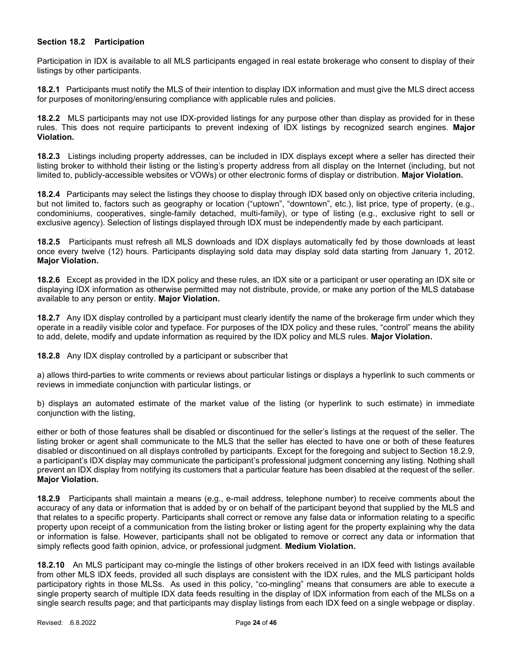## Section 18.2 Participation

Participation in IDX is available to all MLS participants engaged in real estate brokerage who consent to display of their listings by other participants.

18.2.1 Participants must notify the MLS of their intention to display IDX information and must give the MLS direct access for purposes of monitoring/ensuring compliance with applicable rules and policies.

18.2.2 MLS participants may not use IDX-provided listings for any purpose other than display as provided for in these rules. This does not require participants to prevent indexing of IDX listings by recognized search engines. Major Violation.

18.2.3 Listings including property addresses, can be included in IDX displays except where a seller has directed their listing broker to withhold their listing or the listing's property address from all display on the Internet (including, but not limited to, publicly-accessible websites or VOWs) or other electronic forms of display or distribution. Major Violation.

18.2.4 Participants may select the listings they choose to display through IDX based only on objective criteria including, but not limited to, factors such as geography or location ("uptown", "downtown", etc.), list price, type of property, (e.g., condominiums, cooperatives, single-family detached, multi-family), or type of listing (e.g., exclusive right to sell or exclusive agency). Selection of listings displayed through IDX must be independently made by each participant.

18.2.5 Participants must refresh all MLS downloads and IDX displays automatically fed by those downloads at least once every twelve (12) hours. Participants displaying sold data may display sold data starting from January 1, 2012. Major Violation.

18.2.6 Except as provided in the IDX policy and these rules, an IDX site or a participant or user operating an IDX site or displaying IDX information as otherwise permitted may not distribute, provide, or make any portion of the MLS database available to any person or entity. Major Violation.

18.2.7 Any IDX display controlled by a participant must clearly identify the name of the brokerage firm under which they operate in a readily visible color and typeface. For purposes of the IDX policy and these rules, "control" means the ability to add, delete, modify and update information as required by the IDX policy and MLS rules. Major Violation.

18.2.8 Any IDX display controlled by a participant or subscriber that

a) allows third-parties to write comments or reviews about particular listings or displays a hyperlink to such comments or reviews in immediate conjunction with particular listings, or

b) displays an automated estimate of the market value of the listing (or hyperlink to such estimate) in immediate conjunction with the listing,

either or both of those features shall be disabled or discontinued for the seller's listings at the request of the seller. The listing broker or agent shall communicate to the MLS that the seller has elected to have one or both of these features disabled or discontinued on all displays controlled by participants. Except for the foregoing and subject to Section 18.2.9, a participant's IDX display may communicate the participant's professional judgment concerning any listing. Nothing shall prevent an IDX display from notifying its customers that a particular feature has been disabled at the request of the seller. Major Violation.

18.2.9 Participants shall maintain a means (e.g., e-mail address, telephone number) to receive comments about the accuracy of any data or information that is added by or on behalf of the participant beyond that supplied by the MLS and that relates to a specific property. Participants shall correct or remove any false data or information relating to a specific property upon receipt of a communication from the listing broker or listing agent for the property explaining why the data or information is false. However, participants shall not be obligated to remove or correct any data or information that simply reflects good faith opinion, advice, or professional judgment. Medium Violation.

18.2.10 An MLS participant may co-mingle the listings of other brokers received in an IDX feed with listings available from other MLS IDX feeds, provided all such displays are consistent with the IDX rules, and the MLS participant holds participatory rights in those MLSs. As used in this policy, "co-mingling" means that consumers are able to execute a single property search of multiple IDX data feeds resulting in the display of IDX information from each of the MLSs on a single search results page; and that participants may display listings from each IDX feed on a single webpage or display.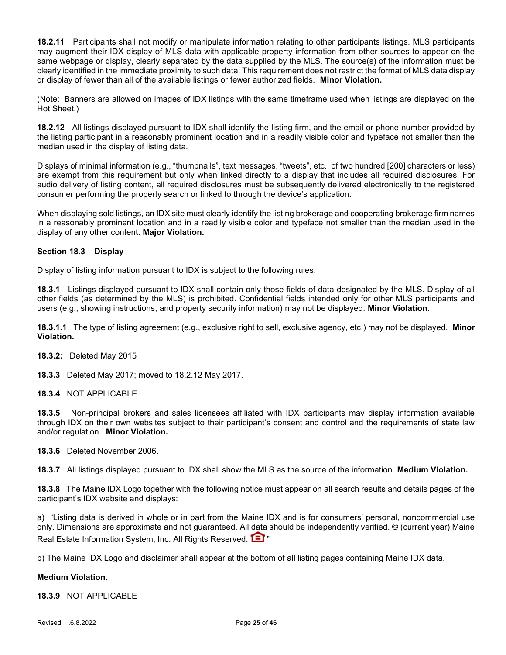18.2.11 Participants shall not modify or manipulate information relating to other participants listings. MLS participants may augment their IDX display of MLS data with applicable property information from other sources to appear on the same webpage or display, clearly separated by the data supplied by the MLS. The source(s) of the information must be clearly identified in the immediate proximity to such data. This requirement does not restrict the format of MLS data display or display of fewer than all of the available listings or fewer authorized fields. Minor Violation.

(Note: Banners are allowed on images of IDX listings with the same timeframe used when listings are displayed on the Hot Sheet.)

18.2.12 All listings displayed pursuant to IDX shall identify the listing firm, and the email or phone number provided by the listing participant in a reasonably prominent location and in a readily visible color and typeface not smaller than the median used in the display of listing data.

Displays of minimal information (e.g., "thumbnails", text messages, "tweets", etc., of two hundred [200] characters or less) are exempt from this requirement but only when linked directly to a display that includes all required disclosures. For audio delivery of listing content, all required disclosures must be subsequently delivered electronically to the registered consumer performing the property search or linked to through the device's application.

When displaying sold listings, an IDX site must clearly identify the listing brokerage and cooperating brokerage firm names in a reasonably prominent location and in a readily visible color and typeface not smaller than the median used in the display of any other content. Major Violation.

# Section 18.3 Display

Display of listing information pursuant to IDX is subject to the following rules:

18.3.1 Listings displayed pursuant to IDX shall contain only those fields of data designated by the MLS. Display of all other fields (as determined by the MLS) is prohibited. Confidential fields intended only for other MLS participants and users (e.g., showing instructions, and property security information) may not be displayed. Minor Violation.

18.3.1.1 The type of listing agreement (e.g., exclusive right to sell, exclusive agency, etc.) may not be displayed. Minor Violation.

18.3.2: Deleted May 2015

18.3.3 Deleted May 2017; moved to 18.2.12 May 2017.

## 18.3.4 NOT APPLICABLE

18.3.5 Non-principal brokers and sales licensees affiliated with IDX participants may display information available through IDX on their own websites subject to their participant's consent and control and the requirements of state law and/or regulation. Minor Violation.

18.3.6 Deleted November 2006.

18.3.7 All listings displayed pursuant to IDX shall show the MLS as the source of the information. Medium Violation.

18.3.8 The Maine IDX Logo together with the following notice must appear on all search results and details pages of the participant's IDX website and displays:

a) "Listing data is derived in whole or in part from the Maine IDX and is for consumers' personal, noncommercial use only. Dimensions are approximate and not guaranteed. All data should be independently verified. © (current year) Maine Real Estate Information System, Inc. All Rights Reserved. **[3]** "

b) The Maine IDX Logo and disclaimer shall appear at the bottom of all listing pages containing Maine IDX data.

## Medium Violation.

18.3.9 NOT APPLICABLE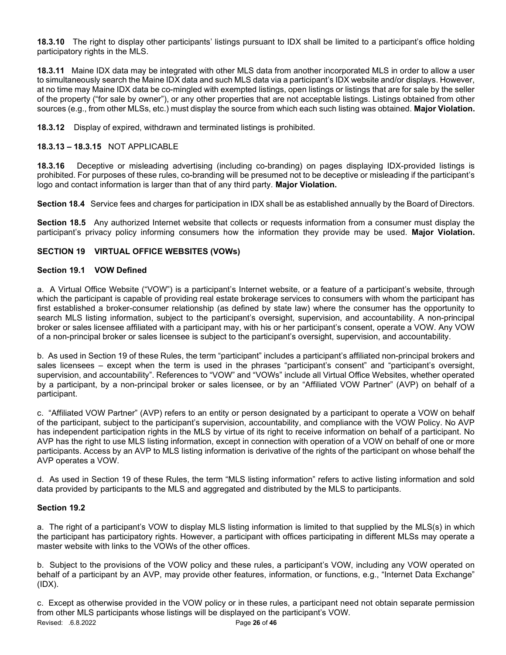18.3.10 The right to display other participants' listings pursuant to IDX shall be limited to a participant's office holding participatory rights in the MLS.

18.3.11 Maine IDX data may be integrated with other MLS data from another incorporated MLS in order to allow a user to simultaneously search the Maine IDX data and such MLS data via a participant's IDX website and/or displays. However, at no time may Maine IDX data be co-mingled with exempted listings, open listings or listings that are for sale by the seller of the property ("for sale by owner"), or any other properties that are not acceptable listings. Listings obtained from other sources (e.g., from other MLSs, etc.) must display the source from which each such listing was obtained. Major Violation.

18.3.12 Display of expired, withdrawn and terminated listings is prohibited.

# 18.3.13 – 18.3.15 NOT APPLICABLE

18.3.16 Deceptive or misleading advertising (including co-branding) on pages displaying IDX-provided listings is prohibited. For purposes of these rules, co-branding will be presumed not to be deceptive or misleading if the participant's logo and contact information is larger than that of any third party. Major Violation.

Section 18.4 Service fees and charges for participation in IDX shall be as established annually by the Board of Directors.

Section 18.5 Any authorized Internet website that collects or requests information from a consumer must display the participant's privacy policy informing consumers how the information they provide may be used. Major Violation.

## SECTION 19 VIRTUAL OFFICE WEBSITES (VOWs)

## Section 19.1 VOW Defined

a. A Virtual Office Website ("VOW") is a participant's Internet website, or a feature of a participant's website, through which the participant is capable of providing real estate brokerage services to consumers with whom the participant has first established a broker-consumer relationship (as defined by state law) where the consumer has the opportunity to search MLS listing information, subject to the participant's oversight, supervision, and accountability. A non-principal broker or sales licensee affiliated with a participant may, with his or her participant's consent, operate a VOW. Any VOW of a non-principal broker or sales licensee is subject to the participant's oversight, supervision, and accountability.

b. As used in Section 19 of these Rules, the term "participant" includes a participant's affiliated non-principal brokers and sales licensees – except when the term is used in the phrases "participant's consent" and "participant's oversight, supervision, and accountability". References to "VOW" and "VOWs" include all Virtual Office Websites, whether operated by a participant, by a non-principal broker or sales licensee, or by an "Affiliated VOW Partner" (AVP) on behalf of a participant.

c. "Affiliated VOW Partner" (AVP) refers to an entity or person designated by a participant to operate a VOW on behalf of the participant, subject to the participant's supervision, accountability, and compliance with the VOW Policy. No AVP has independent participation rights in the MLS by virtue of its right to receive information on behalf of a participant. No AVP has the right to use MLS listing information, except in connection with operation of a VOW on behalf of one or more participants. Access by an AVP to MLS listing information is derivative of the rights of the participant on whose behalf the AVP operates a VOW.

d. As used in Section 19 of these Rules, the term "MLS listing information" refers to active listing information and sold data provided by participants to the MLS and aggregated and distributed by the MLS to participants.

## Section 19.2

a. The right of a participant's VOW to display MLS listing information is limited to that supplied by the MLS(s) in which the participant has participatory rights. However, a participant with offices participating in different MLSs may operate a master website with links to the VOWs of the other offices.

b. Subject to the provisions of the VOW policy and these rules, a participant's VOW, including any VOW operated on behalf of a participant by an AVP, may provide other features, information, or functions, e.g., "Internet Data Exchange" (IDX).

Revised: .6.8.2022 **Page 26 of 46** c. Except as otherwise provided in the VOW policy or in these rules, a participant need not obtain separate permission from other MLS participants whose listings will be displayed on the participant's VOW.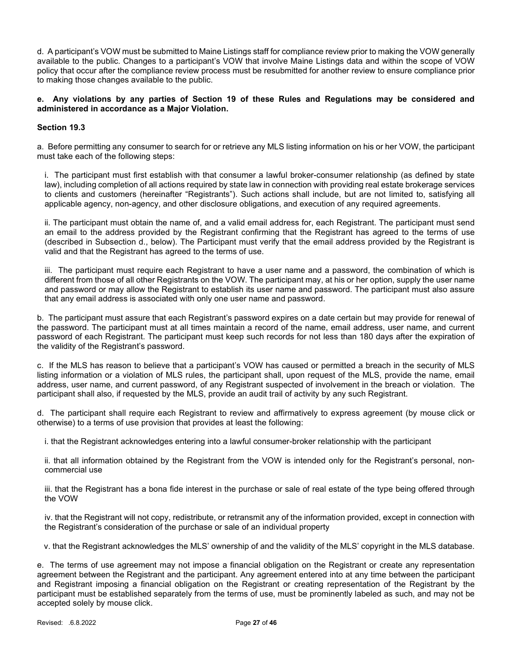d. A participant's VOW must be submitted to Maine Listings staff for compliance review prior to making the VOW generally available to the public. Changes to a participant's VOW that involve Maine Listings data and within the scope of VOW policy that occur after the compliance review process must be resubmitted for another review to ensure compliance prior to making those changes available to the public.

## e. Any violations by any parties of Section 19 of these Rules and Regulations may be considered and administered in accordance as a Major Violation.

## Section 19.3

a. Before permitting any consumer to search for or retrieve any MLS listing information on his or her VOW, the participant must take each of the following steps:

i. The participant must first establish with that consumer a lawful broker-consumer relationship (as defined by state law), including completion of all actions required by state law in connection with providing real estate brokerage services to clients and customers (hereinafter "Registrants"). Such actions shall include, but are not limited to, satisfying all applicable agency, non-agency, and other disclosure obligations, and execution of any required agreements.

ii. The participant must obtain the name of, and a valid email address for, each Registrant. The participant must send an email to the address provided by the Registrant confirming that the Registrant has agreed to the terms of use (described in Subsection d., below). The Participant must verify that the email address provided by the Registrant is valid and that the Registrant has agreed to the terms of use.

iii. The participant must require each Registrant to have a user name and a password, the combination of which is different from those of all other Registrants on the VOW. The participant may, at his or her option, supply the user name and password or may allow the Registrant to establish its user name and password. The participant must also assure that any email address is associated with only one user name and password.

b. The participant must assure that each Registrant's password expires on a date certain but may provide for renewal of the password. The participant must at all times maintain a record of the name, email address, user name, and current password of each Registrant. The participant must keep such records for not less than 180 days after the expiration of the validity of the Registrant's password.

c. If the MLS has reason to believe that a participant's VOW has caused or permitted a breach in the security of MLS listing information or a violation of MLS rules, the participant shall, upon request of the MLS, provide the name, email address, user name, and current password, of any Registrant suspected of involvement in the breach or violation. The participant shall also, if requested by the MLS, provide an audit trail of activity by any such Registrant.

d. The participant shall require each Registrant to review and affirmatively to express agreement (by mouse click or otherwise) to a terms of use provision that provides at least the following:

i. that the Registrant acknowledges entering into a lawful consumer-broker relationship with the participant

ii. that all information obtained by the Registrant from the VOW is intended only for the Registrant's personal, noncommercial use

iii. that the Registrant has a bona fide interest in the purchase or sale of real estate of the type being offered through the VOW

iv. that the Registrant will not copy, redistribute, or retransmit any of the information provided, except in connection with the Registrant's consideration of the purchase or sale of an individual property

v. that the Registrant acknowledges the MLS' ownership of and the validity of the MLS' copyright in the MLS database.

e. The terms of use agreement may not impose a financial obligation on the Registrant or create any representation agreement between the Registrant and the participant. Any agreement entered into at any time between the participant and Registrant imposing a financial obligation on the Registrant or creating representation of the Registrant by the participant must be established separately from the terms of use, must be prominently labeled as such, and may not be accepted solely by mouse click.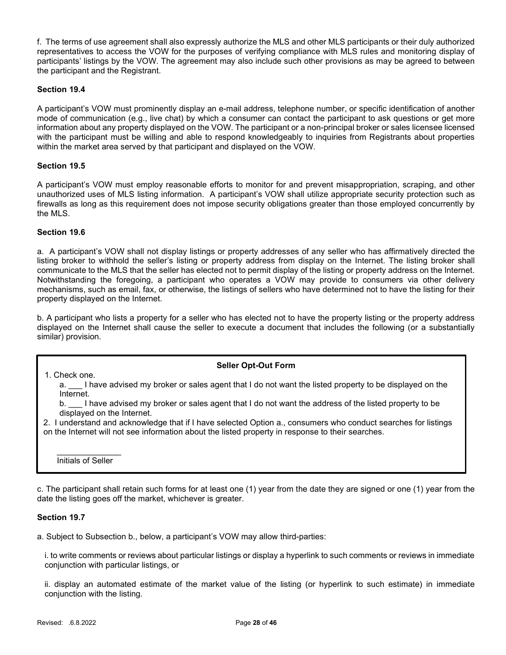f. The terms of use agreement shall also expressly authorize the MLS and other MLS participants or their duly authorized representatives to access the VOW for the purposes of verifying compliance with MLS rules and monitoring display of participants' listings by the VOW. The agreement may also include such other provisions as may be agreed to between the participant and the Registrant.

## Section 19.4

A participant's VOW must prominently display an e-mail address, telephone number, or specific identification of another mode of communication (e.g., live chat) by which a consumer can contact the participant to ask questions or get more information about any property displayed on the VOW. The participant or a non-principal broker or sales licensee licensed with the participant must be willing and able to respond knowledgeably to inquiries from Registrants about properties within the market area served by that participant and displayed on the VOW.

# Section 19.5

A participant's VOW must employ reasonable efforts to monitor for and prevent misappropriation, scraping, and other unauthorized uses of MLS listing information. A participant's VOW shall utilize appropriate security protection such as firewalls as long as this requirement does not impose security obligations greater than those employed concurrently by the MLS.

# Section 19.6

a. A participant's VOW shall not display listings or property addresses of any seller who has affirmatively directed the listing broker to withhold the seller's listing or property address from display on the Internet. The listing broker shall communicate to the MLS that the seller has elected not to permit display of the listing or property address on the Internet. Notwithstanding the foregoing, a participant who operates a VOW may provide to consumers via other delivery mechanisms, such as email, fax, or otherwise, the listings of sellers who have determined not to have the listing for their property displayed on the Internet.

b. A participant who lists a property for a seller who has elected not to have the property listing or the property address displayed on the Internet shall cause the seller to execute a document that includes the following (or a substantially similar) provision.

## Seller Opt-Out Form

a. I have advised my broker or sales agent that I do not want the listed property to be displayed on the Internet.

b. \_\_\_ I have advised my broker or sales agent that I do not want the address of the listed property to be displayed on the Internet.

2. I understand and acknowledge that if I have selected Option a., consumers who conduct searches for listings on the Internet will not see information about the listed property in response to their searches.

Initials of Seller

1. Check one.

c. The participant shall retain such forms for at least one (1) year from the date they are signed or one (1) year from the date the listing goes off the market, whichever is greater.

## Section 19.7

a. Subject to Subsection b., below, a participant's VOW may allow third-parties:

i. to write comments or reviews about particular listings or display a hyperlink to such comments or reviews in immediate conjunction with particular listings, or

ii. display an automated estimate of the market value of the listing (or hyperlink to such estimate) in immediate conjunction with the listing.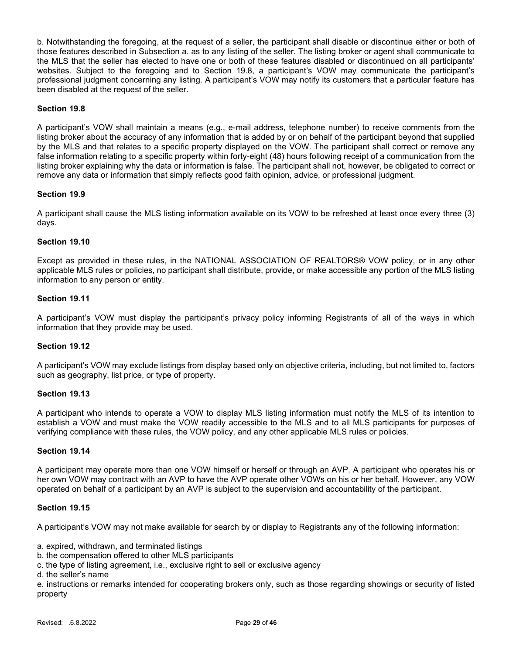b. Notwithstanding the foregoing, at the request of a seller, the participant shall disable or discontinue either or both of those features described in Subsection a. as to any listing of the seller. The listing broker or agent shall communicate to the MLS that the seller has elected to have one or both of these features disabled or discontinued on all participants' websites. Subject to the foregoing and to Section 19.8, a participant's VOW may communicate the participant's professional judgment concerning any listing. A participant's VOW may notify its customers that a particular feature has been disabled at the request of the seller.

## Section 19.8

A participant's VOW shall maintain a means (e.g., e-mail address, telephone number) to receive comments from the listing broker about the accuracy of any information that is added by or on behalf of the participant beyond that supplied by the MLS and that relates to a specific property displayed on the VOW. The participant shall correct or remove any false information relating to a specific property within forty-eight (48) hours following receipt of a communication from the listing broker explaining why the data or information is false. The participant shall not, however, be obligated to correct or remove any data or information that simply reflects good faith opinion, advice, or professional judgment.

#### Section 19.9

A participant shall cause the MLS listing information available on its VOW to be refreshed at least once every three (3) days.

### Section 19.10

Except as provided in these rules, in the NATIONAL ASSOCIATION OF REALTORS® VOW policy, or in any other applicable MLS rules or policies, no participant shall distribute, provide, or make accessible any portion of the MLS listing information to any person or entity.

#### Section 19.11

A participant's VOW must display the participant's privacy policy informing Registrants of all of the ways in which information that they provide may be used.

## Section 19.12

A participant's VOW may exclude listings from display based only on objective criteria, including, but not limited to, factors such as geography, list price, or type of property.

#### Section 19.13

A participant who intends to operate a VOW to display MLS listing information must notify the MLS of its intention to establish a VOW and must make the VOW readily accessible to the MLS and to all MLS participants for purposes of verifying compliance with these rules, the VOW policy, and any other applicable MLS rules or policies.

#### Section 19.14

A participant may operate more than one VOW himself or herself or through an AVP. A participant who operates his or her own VOW may contract with an AVP to have the AVP operate other VOWs on his or her behalf. However, any VOW operated on behalf of a participant by an AVP is subject to the supervision and accountability of the participant.

#### Section 19.15

A participant's VOW may not make available for search by or display to Registrants any of the following information:

a. expired, withdrawn, and terminated listings

b. the compensation offered to other MLS participants

c. the type of listing agreement, i.e., exclusive right to sell or exclusive agency

d. the seller's name

e. instructions or remarks intended for cooperating brokers only, such as those regarding showings or security of listed property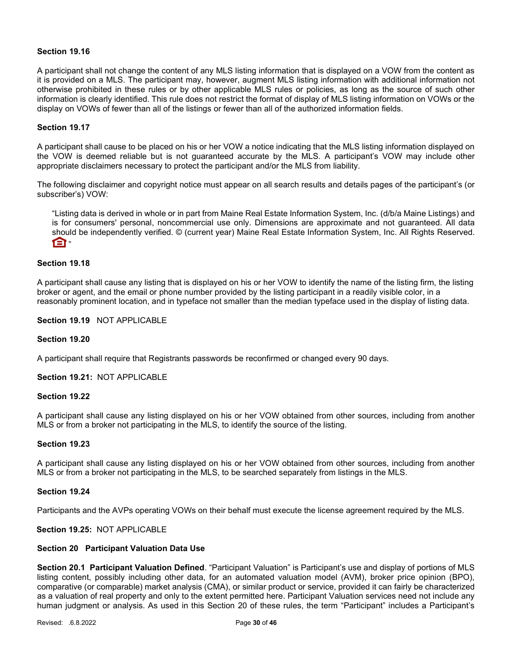### Section 19.16

A participant shall not change the content of any MLS listing information that is displayed on a VOW from the content as it is provided on a MLS. The participant may, however, augment MLS listing information with additional information not otherwise prohibited in these rules or by other applicable MLS rules or policies, as long as the source of such other information is clearly identified. This rule does not restrict the format of display of MLS listing information on VOWs or the display on VOWs of fewer than all of the listings or fewer than all of the authorized information fields.

### Section 19.17

A participant shall cause to be placed on his or her VOW a notice indicating that the MLS listing information displayed on the VOW is deemed reliable but is not guaranteed accurate by the MLS. A participant's VOW may include other appropriate disclaimers necessary to protect the participant and/or the MLS from liability.

The following disclaimer and copyright notice must appear on all search results and details pages of the participant's (or subscriber's) VOW:

"Listing data is derived in whole or in part from Maine Real Estate Information System, Inc. (d/b/a Maine Listings) and is for consumers' personal, noncommercial use only. Dimensions are approximate and not guaranteed. All data should be independently verified. © (current year) Maine Real Estate Information System, Inc. All Rights Reserved.  $\mathsf{m}$ 

### Section 19.18

A participant shall cause any listing that is displayed on his or her VOW to identify the name of the listing firm, the listing broker or agent, and the email or phone number provided by the listing participant in a readily visible color, in a reasonably prominent location, and in typeface not smaller than the median typeface used in the display of listing data.

### Section 19.19 NOT APPLICABLE

#### Section 19.20

A participant shall require that Registrants passwords be reconfirmed or changed every 90 days.

Section 19.21: NOT APPLICABLE

## Section 19.22

A participant shall cause any listing displayed on his or her VOW obtained from other sources, including from another MLS or from a broker not participating in the MLS, to identify the source of the listing.

#### Section 19.23

A participant shall cause any listing displayed on his or her VOW obtained from other sources, including from another MLS or from a broker not participating in the MLS, to be searched separately from listings in the MLS.

#### Section 19.24

Participants and the AVPs operating VOWs on their behalf must execute the license agreement required by the MLS.

#### Section 19.25: NOT APPLICABLE

#### Section 20 Participant Valuation Data Use

Section 20.1 Participant Valuation Defined. "Participant Valuation" is Participant's use and display of portions of MLS listing content, possibly including other data, for an automated valuation model (AVM), broker price opinion (BPO), comparative (or comparable) market analysis (CMA), or similar product or service, provided it can fairly be characterized as a valuation of real property and only to the extent permitted here. Participant Valuation services need not include any human judgment or analysis. As used in this Section 20 of these rules, the term "Participant" includes a Participant's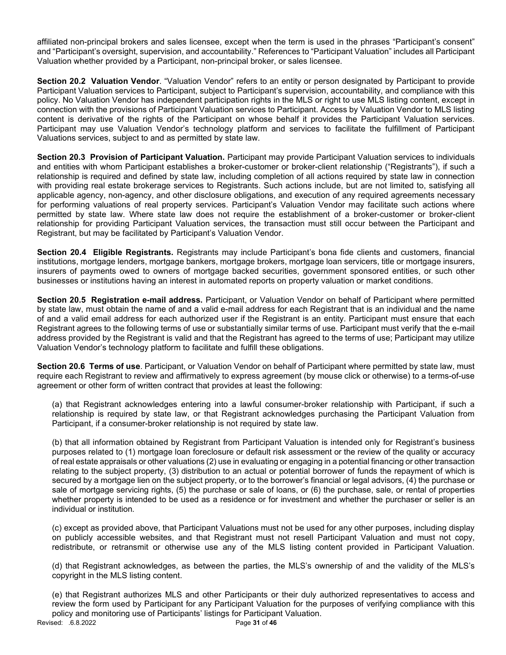affiliated non-principal brokers and sales licensee, except when the term is used in the phrases "Participant's consent" and "Participant's oversight, supervision, and accountability." References to "Participant Valuation" includes all Participant Valuation whether provided by a Participant, non-principal broker, or sales licensee.

Section 20.2 Valuation Vendor. "Valuation Vendor" refers to an entity or person designated by Participant to provide Participant Valuation services to Participant, subject to Participant's supervision, accountability, and compliance with this policy. No Valuation Vendor has independent participation rights in the MLS or right to use MLS listing content, except in connection with the provisions of Participant Valuation services to Participant. Access by Valuation Vendor to MLS listing content is derivative of the rights of the Participant on whose behalf it provides the Participant Valuation services. Participant may use Valuation Vendor's technology platform and services to facilitate the fulfillment of Participant Valuations services, subject to and as permitted by state law.

Section 20.3 Provision of Participant Valuation. Participant may provide Participant Valuation services to individuals and entities with whom Participant establishes a broker-customer or broker-client relationship ("Registrants"), if such a relationship is required and defined by state law, including completion of all actions required by state law in connection with providing real estate brokerage services to Registrants. Such actions include, but are not limited to, satisfying all applicable agency, non-agency, and other disclosure obligations, and execution of any required agreements necessary for performing valuations of real property services. Participant's Valuation Vendor may facilitate such actions where permitted by state law. Where state law does not require the establishment of a broker-customer or broker-client relationship for providing Participant Valuation services, the transaction must still occur between the Participant and Registrant, but may be facilitated by Participant's Valuation Vendor.

Section 20.4 Eligible Registrants. Registrants may include Participant's bona fide clients and customers, financial institutions, mortgage lenders, mortgage bankers, mortgage brokers, mortgage loan servicers, title or mortgage insurers, insurers of payments owed to owners of mortgage backed securities, government sponsored entities, or such other businesses or institutions having an interest in automated reports on property valuation or market conditions.

Section 20.5 Registration e-mail address. Participant, or Valuation Vendor on behalf of Participant where permitted by state law, must obtain the name of and a valid e-mail address for each Registrant that is an individual and the name of and a valid email address for each authorized user if the Registrant is an entity. Participant must ensure that each Registrant agrees to the following terms of use or substantially similar terms of use. Participant must verify that the e-mail address provided by the Registrant is valid and that the Registrant has agreed to the terms of use; Participant may utilize Valuation Vendor's technology platform to facilitate and fulfill these obligations.

Section 20.6 Terms of use. Participant, or Valuation Vendor on behalf of Participant where permitted by state law, must require each Registrant to review and affirmatively to express agreement (by mouse click or otherwise) to a terms-of-use agreement or other form of written contract that provides at least the following:

(a) that Registrant acknowledges entering into a lawful consumer-broker relationship with Participant, if such a relationship is required by state law, or that Registrant acknowledges purchasing the Participant Valuation from Participant, if a consumer-broker relationship is not required by state law.

(b) that all information obtained by Registrant from Participant Valuation is intended only for Registrant's business purposes related to (1) mortgage loan foreclosure or default risk assessment or the review of the quality or accuracy of real estate appraisals or other valuations (2) use in evaluating or engaging in a potential financing or other transaction relating to the subject property, (3) distribution to an actual or potential borrower of funds the repayment of which is secured by a mortgage lien on the subject property, or to the borrower's financial or legal advisors, (4) the purchase or sale of mortgage servicing rights, (5) the purchase or sale of loans, or (6) the purchase, sale, or rental of properties whether property is intended to be used as a residence or for investment and whether the purchaser or seller is an individual or institution.

(c) except as provided above, that Participant Valuations must not be used for any other purposes, including display on publicly accessible websites, and that Registrant must not resell Participant Valuation and must not copy, redistribute, or retransmit or otherwise use any of the MLS listing content provided in Participant Valuation.

(d) that Registrant acknowledges, as between the parties, the MLS's ownership of and the validity of the MLS's copyright in the MLS listing content.

Revised: .6.8.2022 **Page 31 of 46** (e) that Registrant authorizes MLS and other Participants or their duly authorized representatives to access and review the form used by Participant for any Participant Valuation for the purposes of verifying compliance with this policy and monitoring use of Participants' listings for Participant Valuation.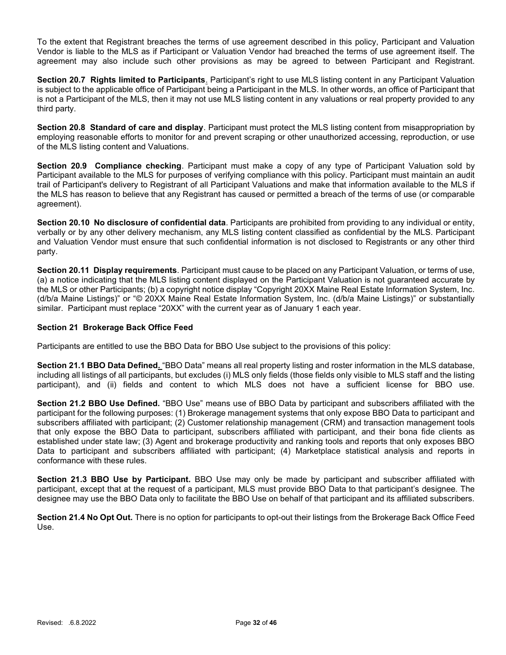To the extent that Registrant breaches the terms of use agreement described in this policy, Participant and Valuation Vendor is liable to the MLS as if Participant or Valuation Vendor had breached the terms of use agreement itself. The agreement may also include such other provisions as may be agreed to between Participant and Registrant.

Section 20.7 Rights limited to Participants. Participant's right to use MLS listing content in any Participant Valuation is subject to the applicable office of Participant being a Participant in the MLS. In other words, an office of Participant that is not a Participant of the MLS, then it may not use MLS listing content in any valuations or real property provided to any third party.

Section 20.8 Standard of care and display. Participant must protect the MLS listing content from misappropriation by employing reasonable efforts to monitor for and prevent scraping or other unauthorized accessing, reproduction, or use of the MLS listing content and Valuations.

Section 20.9 Compliance checking. Participant must make a copy of any type of Participant Valuation sold by Participant available to the MLS for purposes of verifying compliance with this policy. Participant must maintain an audit trail of Participant's delivery to Registrant of all Participant Valuations and make that information available to the MLS if the MLS has reason to believe that any Registrant has caused or permitted a breach of the terms of use (or comparable agreement).

Section 20.10 No disclosure of confidential data. Participants are prohibited from providing to any individual or entity, verbally or by any other delivery mechanism, any MLS listing content classified as confidential by the MLS. Participant and Valuation Vendor must ensure that such confidential information is not disclosed to Registrants or any other third party.

Section 20.11 Display requirements. Participant must cause to be placed on any Participant Valuation, or terms of use, (a) a notice indicating that the MLS listing content displayed on the Participant Valuation is not guaranteed accurate by the MLS or other Participants; (b) a copyright notice display "Copyright 20XX Maine Real Estate Information System, Inc. (d/b/a Maine Listings)" or "© 20XX Maine Real Estate Information System, Inc. (d/b/a Maine Listings)" or substantially similar. Participant must replace "20XX" with the current year as of January 1 each year.

## Section 21 Brokerage Back Office Feed

Participants are entitled to use the BBO Data for BBO Use subject to the provisions of this policy:

Section 21.1 BBO Data Defined. "BBO Data" means all real property listing and roster information in the MLS database, including all listings of all participants, but excludes (i) MLS only fields (those fields only visible to MLS staff and the listing participant), and (ii) fields and content to which MLS does not have a sufficient license for BBO use.

Section 21.2 BBO Use Defined. "BBO Use" means use of BBO Data by participant and subscribers affiliated with the participant for the following purposes: (1) Brokerage management systems that only expose BBO Data to participant and subscribers affiliated with participant; (2) Customer relationship management (CRM) and transaction management tools that only expose the BBO Data to participant, subscribers affiliated with participant, and their bona fide clients as established under state law; (3) Agent and brokerage productivity and ranking tools and reports that only exposes BBO Data to participant and subscribers affiliated with participant; (4) Marketplace statistical analysis and reports in conformance with these rules.

Section 21.3 BBO Use by Participant. BBO Use may only be made by participant and subscriber affiliated with participant, except that at the request of a participant, MLS must provide BBO Data to that participant's designee. The designee may use the BBO Data only to facilitate the BBO Use on behalf of that participant and its affiliated subscribers.

Section 21.4 No Opt Out. There is no option for participants to opt-out their listings from the Brokerage Back Office Feed Use.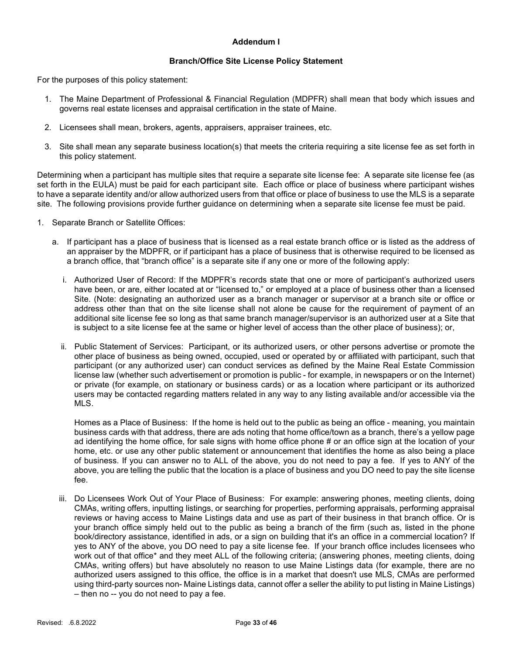## Addendum I

### Branch/Office Site License Policy Statement

For the purposes of this policy statement:

- 1. The Maine Department of Professional & Financial Regulation (MDPFR) shall mean that body which issues and governs real estate licenses and appraisal certification in the state of Maine.
- 2. Licensees shall mean, brokers, agents, appraisers, appraiser trainees, etc.
- 3. Site shall mean any separate business location(s) that meets the criteria requiring a site license fee as set forth in this policy statement.

Determining when a participant has multiple sites that require a separate site license fee: A separate site license fee (as set forth in the EULA) must be paid for each participant site. Each office or place of business where participant wishes to have a separate identity and/or allow authorized users from that office or place of business to use the MLS is a separate site. The following provisions provide further guidance on determining when a separate site license fee must be paid.

- 1. Separate Branch or Satellite Offices:
	- a. If participant has a place of business that is licensed as a real estate branch office or is listed as the address of an appraiser by the MDPFR, or if participant has a place of business that is otherwise required to be licensed as a branch office, that "branch office" is a separate site if any one or more of the following apply:
		- i. Authorized User of Record: If the MDPFR's records state that one or more of participant's authorized users have been, or are, either located at or "licensed to," or employed at a place of business other than a licensed Site. (Note: designating an authorized user as a branch manager or supervisor at a branch site or office or address other than that on the site license shall not alone be cause for the requirement of payment of an additional site license fee so long as that same branch manager/supervisor is an authorized user at a Site that is subject to a site license fee at the same or higher level of access than the other place of business); or,
		- ii. Public Statement of Services: Participant, or its authorized users, or other persons advertise or promote the other place of business as being owned, occupied, used or operated by or affiliated with participant, such that participant (or any authorized user) can conduct services as defined by the Maine Real Estate Commission license law (whether such advertisement or promotion is public - for example, in newspapers or on the Internet) or private (for example, on stationary or business cards) or as a location where participant or its authorized users may be contacted regarding matters related in any way to any listing available and/or accessible via the MLS.

Homes as a Place of Business: If the home is held out to the public as being an office - meaning, you maintain business cards with that address, there are ads noting that home office/town as a branch, there's a yellow page ad identifying the home office, for sale signs with home office phone # or an office sign at the location of your home, etc. or use any other public statement or announcement that identifies the home as also being a place of business. If you can answer no to ALL of the above, you do not need to pay a fee. If yes to ANY of the above, you are telling the public that the location is a place of business and you DO need to pay the site license fee.

iii. Do Licensees Work Out of Your Place of Business: For example: answering phones, meeting clients, doing CMAs, writing offers, inputting listings, or searching for properties, performing appraisals, performing appraisal reviews or having access to Maine Listings data and use as part of their business in that branch office. Or is your branch office simply held out to the public as being a branch of the firm (such as, listed in the phone book/directory assistance, identified in ads, or a sign on building that it's an office in a commercial location? If yes to ANY of the above, you DO need to pay a site license fee. If your branch office includes licensees who work out of that office\* and they meet ALL of the following criteria; (answering phones, meeting clients, doing CMAs, writing offers) but have absolutely no reason to use Maine Listings data (for example, there are no authorized users assigned to this office, the office is in a market that doesn't use MLS, CMAs are performed using third-party sources non- Maine Listings data, cannot offer a seller the ability to put listing in Maine Listings) – then no -- you do not need to pay a fee.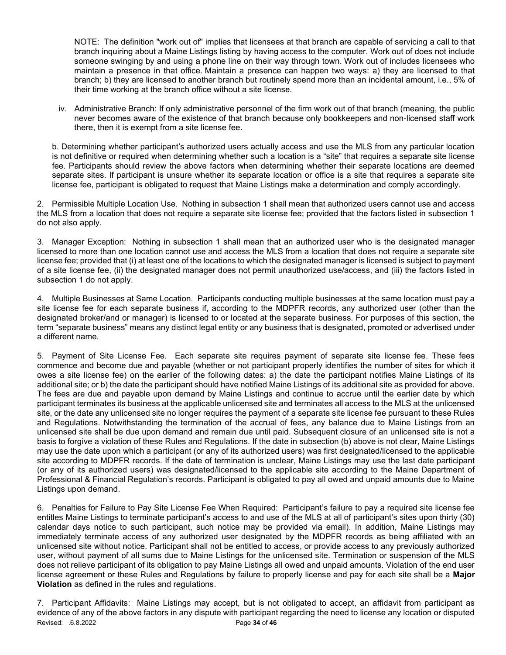NOTE: The definition "work out of" implies that licensees at that branch are capable of servicing a call to that branch inquiring about a Maine Listings listing by having access to the computer. Work out of does not include someone swinging by and using a phone line on their way through town. Work out of includes licensees who maintain a presence in that office. Maintain a presence can happen two ways: a) they are licensed to that branch; b) they are licensed to another branch but routinely spend more than an incidental amount, i.e., 5% of their time working at the branch office without a site license.

iv. Administrative Branch: If only administrative personnel of the firm work out of that branch (meaning, the public never becomes aware of the existence of that branch because only bookkeepers and non-licensed staff work there, then it is exempt from a site license fee.

b. Determining whether participant's authorized users actually access and use the MLS from any particular location is not definitive or required when determining whether such a location is a "site" that requires a separate site license fee. Participants should review the above factors when determining whether their separate locations are deemed separate sites. If participant is unsure whether its separate location or office is a site that requires a separate site license fee, participant is obligated to request that Maine Listings make a determination and comply accordingly.

2. Permissible Multiple Location Use. Nothing in subsection 1 shall mean that authorized users cannot use and access the MLS from a location that does not require a separate site license fee; provided that the factors listed in subsection 1 do not also apply.

3. Manager Exception: Nothing in subsection 1 shall mean that an authorized user who is the designated manager licensed to more than one location cannot use and access the MLS from a location that does not require a separate site license fee; provided that (i) at least one of the locations to which the designated manager is licensed is subject to payment of a site license fee, (ii) the designated manager does not permit unauthorized use/access, and (iii) the factors listed in subsection 1 do not apply.

4. Multiple Businesses at Same Location. Participants conducting multiple businesses at the same location must pay a site license fee for each separate business if, according to the MDPFR records, any authorized user (other than the designated broker/and or manager) is licensed to or located at the separate business. For purposes of this section, the term "separate business" means any distinct legal entity or any business that is designated, promoted or advertised under a different name.

5. Payment of Site License Fee. Each separate site requires payment of separate site license fee. These fees commence and become due and payable (whether or not participant properly identifies the number of sites for which it owes a site license fee) on the earlier of the following dates: a) the date the participant notifies Maine Listings of its additional site; or b) the date the participant should have notified Maine Listings of its additional site as provided for above. The fees are due and payable upon demand by Maine Listings and continue to accrue until the earlier date by which participant terminates its business at the applicable unlicensed site and terminates all access to the MLS at the unlicensed site, or the date any unlicensed site no longer requires the payment of a separate site license fee pursuant to these Rules and Regulations. Notwithstanding the termination of the accrual of fees, any balance due to Maine Listings from an unlicensed site shall be due upon demand and remain due until paid. Subsequent closure of an unlicensed site is not a basis to forgive a violation of these Rules and Regulations. If the date in subsection (b) above is not clear, Maine Listings may use the date upon which a participant (or any of its authorized users) was first designated/licensed to the applicable site according to MDPFR records. If the date of termination is unclear, Maine Listings may use the last date participant (or any of its authorized users) was designated/licensed to the applicable site according to the Maine Department of Professional & Financial Regulation's records. Participant is obligated to pay all owed and unpaid amounts due to Maine Listings upon demand.

6. Penalties for Failure to Pay Site License Fee When Required: Participant's failure to pay a required site license fee entitles Maine Listings to terminate participant's access to and use of the MLS at all of participant's sites upon thirty (30) calendar days notice to such participant, such notice may be provided via email). In addition, Maine Listings may immediately terminate access of any authorized user designated by the MDPFR records as being affiliated with an unlicensed site without notice. Participant shall not be entitled to access, or provide access to any previously authorized user, without payment of all sums due to Maine Listings for the unlicensed site. Termination or suspension of the MLS does not relieve participant of its obligation to pay Maine Listings all owed and unpaid amounts. Violation of the end user license agreement or these Rules and Regulations by failure to properly license and pay for each site shall be a Major Violation as defined in the rules and regulations.

Revised: .6.8.2022 **Page 34 of 46** 7. Participant Affidavits: Maine Listings may accept, but is not obligated to accept, an affidavit from participant as evidence of any of the above factors in any dispute with participant regarding the need to license any location or disputed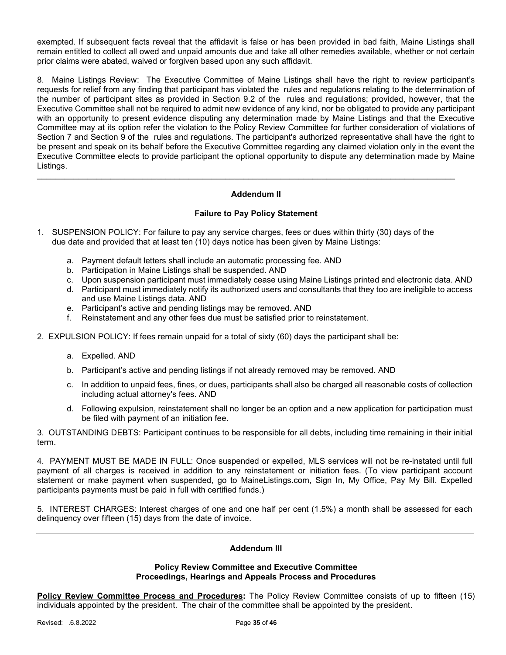exempted. If subsequent facts reveal that the affidavit is false or has been provided in bad faith, Maine Listings shall remain entitled to collect all owed and unpaid amounts due and take all other remedies available, whether or not certain prior claims were abated, waived or forgiven based upon any such affidavit.

8. Maine Listings Review: The Executive Committee of Maine Listings shall have the right to review participant's requests for relief from any finding that participant has violated the rules and regulations relating to the determination of the number of participant sites as provided in Section 9.2 of the rules and regulations; provided, however, that the Executive Committee shall not be required to admit new evidence of any kind, nor be obligated to provide any participant with an opportunity to present evidence disputing any determination made by Maine Listings and that the Executive Committee may at its option refer the violation to the Policy Review Committee for further consideration of violations of Section 7 and Section 9 of the rules and regulations. The participant's authorized representative shall have the right to be present and speak on its behalf before the Executive Committee regarding any claimed violation only in the event the Executive Committee elects to provide participant the optional opportunity to dispute any determination made by Maine Listings.

# Addendum II

\_\_\_\_\_\_\_\_\_\_\_\_\_\_\_\_\_\_\_\_\_\_\_\_\_\_\_\_\_\_\_\_\_\_\_\_\_\_\_\_\_\_\_\_\_\_\_\_\_\_\_\_\_\_\_\_\_\_\_\_\_\_\_\_\_\_\_\_\_\_\_\_\_\_\_\_\_\_\_\_\_\_\_\_\_\_\_\_\_\_\_

## Failure to Pay Policy Statement

- 1. SUSPENSION POLICY: For failure to pay any service charges, fees or dues within thirty (30) days of the due date and provided that at least ten (10) days notice has been given by Maine Listings:
	- a. Payment default letters shall include an automatic processing fee. AND
	- b. Participation in Maine Listings shall be suspended. AND
	- c. Upon suspension participant must immediately cease using Maine Listings printed and electronic data. AND
	- d. Participant must immediately notify its authorized users and consultants that they too are ineligible to access and use Maine Listings data. AND
	- e. Participant's active and pending listings may be removed. AND
	- f. Reinstatement and any other fees due must be satisfied prior to reinstatement.
- 2. EXPULSION POLICY: If fees remain unpaid for a total of sixty (60) days the participant shall be:
	- a. Expelled. AND
	- b. Participant's active and pending listings if not already removed may be removed. AND
	- c. In addition to unpaid fees, fines, or dues, participants shall also be charged all reasonable costs of collection including actual attorney's fees. AND
	- d. Following expulsion, reinstatement shall no longer be an option and a new application for participation must be filed with payment of an initiation fee.

3. OUTSTANDING DEBTS: Participant continues to be responsible for all debts, including time remaining in their initial term.

4. PAYMENT MUST BE MADE IN FULL: Once suspended or expelled, MLS services will not be re-instated until full payment of all charges is received in addition to any reinstatement or initiation fees. (To view participant account statement or make payment when suspended, go to MaineListings.com, Sign In, My Office, Pay My Bill. Expelled participants payments must be paid in full with certified funds.)

5. INTEREST CHARGES: Interest charges of one and one half per cent (1.5%) a month shall be assessed for each delinquency over fifteen (15) days from the date of invoice.

# Addendum III

## Policy Review Committee and Executive Committee Proceedings, Hearings and Appeals Process and Procedures

Policy Review Committee Process and Procedures: The Policy Review Committee consists of up to fifteen (15) individuals appointed by the president. The chair of the committee shall be appointed by the president.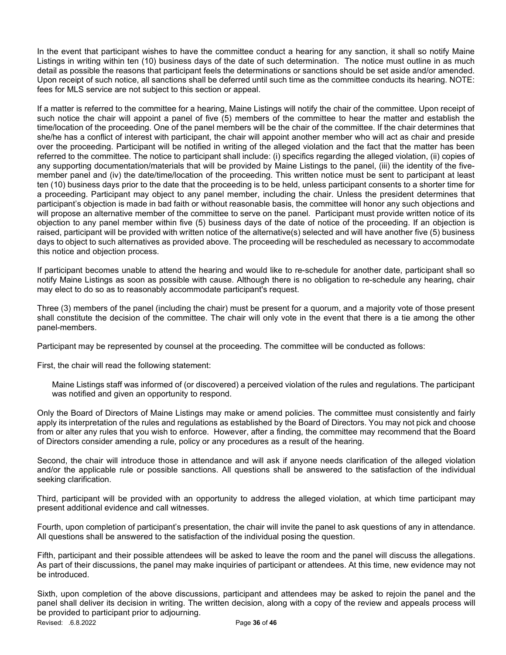In the event that participant wishes to have the committee conduct a hearing for any sanction, it shall so notify Maine Listings in writing within ten (10) business days of the date of such determination. The notice must outline in as much detail as possible the reasons that participant feels the determinations or sanctions should be set aside and/or amended. Upon receipt of such notice, all sanctions shall be deferred until such time as the committee conducts its hearing. NOTE: fees for MLS service are not subject to this section or appeal.

If a matter is referred to the committee for a hearing, Maine Listings will notify the chair of the committee. Upon receipt of such notice the chair will appoint a panel of five (5) members of the committee to hear the matter and establish the time/location of the proceeding. One of the panel members will be the chair of the committee. If the chair determines that she/he has a conflict of interest with participant, the chair will appoint another member who will act as chair and preside over the proceeding. Participant will be notified in writing of the alleged violation and the fact that the matter has been referred to the committee. The notice to participant shall include: (i) specifics regarding the alleged violation, (ii) copies of any supporting documentation/materials that will be provided by Maine Listings to the panel, (iii) the identity of the fivemember panel and (iv) the date/time/location of the proceeding. This written notice must be sent to participant at least ten (10) business days prior to the date that the proceeding is to be held, unless participant consents to a shorter time for a proceeding. Participant may object to any panel member, including the chair. Unless the president determines that participant's objection is made in bad faith or without reasonable basis, the committee will honor any such objections and will propose an alternative member of the committee to serve on the panel. Participant must provide written notice of its objection to any panel member within five (5) business days of the date of notice of the proceeding. If an objection is raised, participant will be provided with written notice of the alternative(s) selected and will have another five (5) business days to object to such alternatives as provided above. The proceeding will be rescheduled as necessary to accommodate this notice and objection process.

If participant becomes unable to attend the hearing and would like to re-schedule for another date, participant shall so notify Maine Listings as soon as possible with cause. Although there is no obligation to re-schedule any hearing, chair may elect to do so as to reasonably accommodate participant's request.

Three (3) members of the panel (including the chair) must be present for a quorum, and a majority vote of those present shall constitute the decision of the committee. The chair will only vote in the event that there is a tie among the other panel-members.

Participant may be represented by counsel at the proceeding. The committee will be conducted as follows:

First, the chair will read the following statement:

Maine Listings staff was informed of (or discovered) a perceived violation of the rules and regulations. The participant was notified and given an opportunity to respond.

Only the Board of Directors of Maine Listings may make or amend policies. The committee must consistently and fairly apply its interpretation of the rules and regulations as established by the Board of Directors. You may not pick and choose from or alter any rules that you wish to enforce. However, after a finding, the committee may recommend that the Board of Directors consider amending a rule, policy or any procedures as a result of the hearing.

Second, the chair will introduce those in attendance and will ask if anyone needs clarification of the alleged violation and/or the applicable rule or possible sanctions. All questions shall be answered to the satisfaction of the individual seeking clarification.

Third, participant will be provided with an opportunity to address the alleged violation, at which time participant may present additional evidence and call witnesses.

Fourth, upon completion of participant's presentation, the chair will invite the panel to ask questions of any in attendance. All questions shall be answered to the satisfaction of the individual posing the question.

Fifth, participant and their possible attendees will be asked to leave the room and the panel will discuss the allegations. As part of their discussions, the panel may make inquiries of participant or attendees. At this time, new evidence may not be introduced.

Revised: .6.8.2022 **Page 36 of 46** Sixth, upon completion of the above discussions, participant and attendees may be asked to rejoin the panel and the panel shall deliver its decision in writing. The written decision, along with a copy of the review and appeals process will be provided to participant prior to adjourning.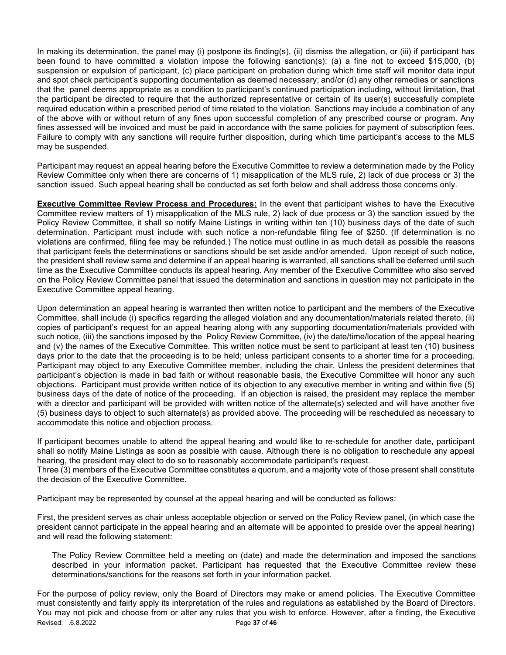In making its determination, the panel may (i) postpone its finding(s), (ii) dismiss the allegation, or (iii) if participant has been found to have committed a violation impose the following sanction(s): (a) a fine not to exceed \$15,000, (b) suspension or expulsion of participant, (c) place participant on probation during which time staff will monitor data input and spot check participant's supporting documentation as deemed necessary; and/or (d) any other remedies or sanctions that the panel deems appropriate as a condition to participant's continued participation including, without limitation, that the participant be directed to require that the authorized representative or certain of its user(s) successfully complete required education within a prescribed period of time related to the violation. Sanctions may include a combination of any of the above with or without return of any fines upon successful completion of any prescribed course or program. Any fines assessed will be invoiced and must be paid in accordance with the same policies for payment of subscription fees. Failure to comply with any sanctions will require further disposition, during which time participant's access to the MLS may be suspended.

Participant may request an appeal hearing before the Executive Committee to review a determination made by the Policy Review Committee only when there are concerns of 1) misapplication of the MLS rule, 2) lack of due process or 3) the sanction issued. Such appeal hearing shall be conducted as set forth below and shall address those concerns only.

**Executive Committee Review Process and Procedures:** In the event that participant wishes to have the Executive Committee review matters of 1) misapplication of the MLS rule, 2) lack of due process or 3) the sanction issued by the Policy Review Committee, it shall so notify Maine Listings in writing within ten (10) business days of the date of such determination. Participant must include with such notice a non-refundable filing fee of \$250. (If determination is no violations are confirmed, filing fee may be refunded.) The notice must outline in as much detail as possible the reasons that participant feels the determinations or sanctions should be set aside and/or amended. Upon receipt of such notice, the president shall review same and determine if an appeal hearing is warranted, all sanctions shall be deferred until such time as the Executive Committee conducts its appeal hearing. Any member of the Executive Committee who also served on the Policy Review Committee panel that issued the determination and sanctions in question may not participate in the Executive Committee appeal hearing.

Upon determination an appeal hearing is warranted then written notice to participant and the members of the Executive Committee, shall include (i) specifics regarding the alleged violation and any documentation/materials related thereto, (ii) copies of participant's request for an appeal hearing along with any supporting documentation/materials provided with such notice, (iii) the sanctions imposed by the Policy Review Committee, (iv) the date/time/location of the appeal hearing and (v) the names of the Executive Committee. This written notice must be sent to participant at least ten (10) business days prior to the date that the proceeding is to be held; unless participant consents to a shorter time for a proceeding. Participant may object to any Executive Committee member, including the chair. Unless the president determines that participant's objection is made in bad faith or without reasonable basis, the Executive Committee will honor any such objections. Participant must provide written notice of its objection to any executive member in writing and within five (5) business days of the date of notice of the proceeding. If an objection is raised, the president may replace the member with a director and participant will be provided with written notice of the alternate(s) selected and will have another five (5) business days to object to such alternate(s) as provided above. The proceeding will be rescheduled as necessary to accommodate this notice and objection process.

If participant becomes unable to attend the appeal hearing and would like to re-schedule for another date, participant shall so notify Maine Listings as soon as possible with cause. Although there is no obligation to reschedule any appeal hearing, the president may elect to do so to reasonably accommodate participant's request.

Three (3) members of the Executive Committee constitutes a quorum, and a majority vote of those present shall constitute the decision of the Executive Committee.

Participant may be represented by counsel at the appeal hearing and will be conducted as follows:

First, the president serves as chair unless acceptable objection or served on the Policy Review panel, (in which case the president cannot participate in the appeal hearing and an alternate will be appointed to preside over the appeal hearing) and will read the following statement:

The Policy Review Committee held a meeting on (date) and made the determination and imposed the sanctions described in your information packet. Participant has requested that the Executive Committee review these determinations/sanctions for the reasons set forth in your information packet.

Revised: .6.8.2022 **Page 37 of 46** For the purpose of policy review, only the Board of Directors may make or amend policies. The Executive Committee must consistently and fairly apply its interpretation of the rules and regulations as established by the Board of Directors. You may not pick and choose from or alter any rules that you wish to enforce. However, after a finding, the Executive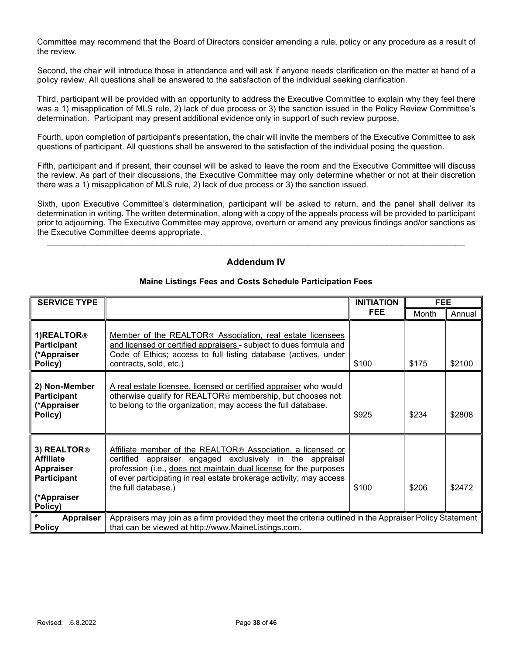Committee may recommend that the Board of Directors consider amending a rule, policy or any procedure as a result of the review.

Second, the chair will introduce those in attendance and will ask if anyone needs clarification on the matter at hand of a policy review. All questions shall be answered to the satisfaction of the individual seeking clarification.

Third, participant will be provided with an opportunity to address the Executive Committee to explain why they feel there was a 1) misapplication of MLS rule, 2) lack of due process or 3) the sanction issued in the Policy Review Committee's determination. Participant may present additional evidence only in support of such review purpose.

Fourth, upon completion of participant's presentation, the chair will invite the members of the Executive Committee to ask questions of participant. All questions shall be answered to the satisfaction of the individual posing the question.

Fifth, participant and if present, their counsel will be asked to leave the room and the Executive Committee will discuss the review. As part of their discussions, the Executive Committee may only determine whether or not at their discretion there was a 1) misapplication of MLS rule, 2) lack of due process or 3) the sanction issued.

Sixth, upon Executive Committee's determination, participant will be asked to return, and the panel shall deliver its determination in writing. The written determination, along with a copy of the appeals process will be provided to participant prior to adjourning. The Executive Committee may approve, overturn or amend any previous findings and/or sanctions as the Executive Committee deems appropriate.

# Addendum IV

 $\mathcal{L}_\mathcal{L} = \mathcal{L}_\mathcal{L} = \mathcal{L}_\mathcal{L} = \mathcal{L}_\mathcal{L} = \mathcal{L}_\mathcal{L} = \mathcal{L}_\mathcal{L} = \mathcal{L}_\mathcal{L} = \mathcal{L}_\mathcal{L} = \mathcal{L}_\mathcal{L} = \mathcal{L}_\mathcal{L} = \mathcal{L}_\mathcal{L} = \mathcal{L}_\mathcal{L} = \mathcal{L}_\mathcal{L} = \mathcal{L}_\mathcal{L} = \mathcal{L}_\mathcal{L} = \mathcal{L}_\mathcal{L} = \mathcal{L}_\mathcal{L}$ 

| <b>SERVICE TYPE</b>                                                                                             |                                                                                                                                                                                                                                                                                            | <b>INITIATION</b> | <b>FEE</b> |        |
|-----------------------------------------------------------------------------------------------------------------|--------------------------------------------------------------------------------------------------------------------------------------------------------------------------------------------------------------------------------------------------------------------------------------------|-------------------|------------|--------|
|                                                                                                                 |                                                                                                                                                                                                                                                                                            | FEE.              | Month      | Annual |
| 1) REALTOR®<br><b>Participant</b><br>(*Appraiser<br>Policy)                                                     | Member of the REALTOR <sup>®</sup> Association, real estate licensees<br>and licensed or certified appraisers - subject to dues formula and<br>Code of Ethics; access to full listing database (actives, under<br>contracts, sold, etc.)                                                   | \$100             | \$175      | \$2100 |
| 2) Non-Member<br><b>Participant</b><br>(*Appraiser<br>Policy)                                                   | A real estate licensee, licensed or certified appraiser who would<br>otherwise qualify for REALTOR® membership, but chooses not<br>to belong to the organization; may access the full database.                                                                                            | \$925             | \$234      | \$2808 |
| 3) REALTOR <sup>®</sup><br><b>Affiliate</b><br><b>Appraiser</b><br><b>Participant</b><br>(*Appraiser<br>Policy) | Affiliate member of the REALTOR® Association, a licensed or<br>certified appraiser engaged exclusively in the appraisal<br>profession (i.e., does not maintain dual license for the purposes<br>of ever participating in real estate brokerage activity; may access<br>the full database.) | \$100             | \$206      | \$2472 |
| <b>Appraiser</b><br><b>Policy</b>                                                                               | Appraisers may join as a firm provided they meet the criteria outlined in the Appraiser Policy Statement<br>that can be viewed at http://www.MaineListings.com.                                                                                                                            |                   |            |        |

## Maine Listings Fees and Costs Schedule Participation Fees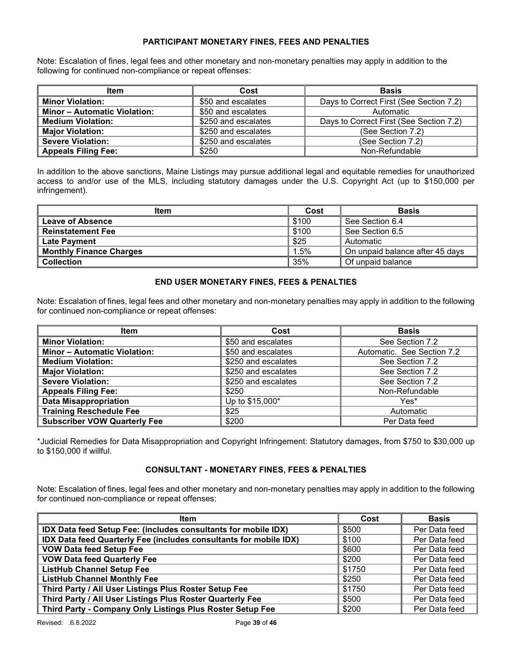## PARTICIPANT MONETARY FINES, FEES AND PENALTIES

Note: Escalation of fines, legal fees and other monetary and non-monetary penalties may apply in addition to the following for continued non-compliance or repeat offenses:

| <b>Item</b>                         | Cost                | <b>Basis</b>                            |
|-------------------------------------|---------------------|-----------------------------------------|
| <b>Minor Violation:</b>             | \$50 and escalates  | Days to Correct First (See Section 7.2) |
| <b>Minor - Automatic Violation:</b> | \$50 and escalates  | Automatic                               |
| <b>Medium Violation:</b>            | \$250 and escalates | Days to Correct First (See Section 7.2) |
| <b>Major Violation:</b>             | \$250 and escalates | (See Section 7.2)                       |
| <b>Severe Violation:</b>            | \$250 and escalates | (See Section 7.2)                       |
| Appeals Filing Fee:                 | \$250               | Non-Refundable                          |

In addition to the above sanctions, Maine Listings may pursue additional legal and equitable remedies for unauthorized access to and/or use of the MLS, including statutory damages under the U.S. Copyright Act (up to \$150,000 per infringement).

| <b>Item</b>                    | Cost  | <b>Basis</b>                    |
|--------------------------------|-------|---------------------------------|
| <b>Leave of Absence</b>        | \$100 | See Section 6.4                 |
| <b>Reinstatement Fee</b>       | \$100 | See Section 6.5                 |
| <b>Late Payment</b>            | \$25  | Automatic                       |
| <b>Monthly Finance Charges</b> | 1.5%  | On unpaid balance after 45 days |
| <b>Collection</b>              | 35%   | Of unpaid balance               |

## END USER MONETARY FINES, FEES & PENALTIES

Note: Escalation of fines, legal fees and other monetary and non-monetary penalties may apply in addition to the following for continued non-compliance or repeat offenses:

| <b>Item</b>                         | Cost                | <b>Basis</b>               |
|-------------------------------------|---------------------|----------------------------|
| <b>Minor Violation:</b>             | \$50 and escalates  | See Section 7.2            |
| <b>Minor - Automatic Violation:</b> | \$50 and escalates  | Automatic. See Section 7.2 |
| <b>Medium Violation:</b>            | \$250 and escalates | See Section 7.2            |
| <b>Major Violation:</b>             | \$250 and escalates | See Section 7.2            |
| <b>Severe Violation:</b>            | \$250 and escalates | See Section 7.2            |
| <b>Appeals Filing Fee:</b>          | \$250               | Non-Refundable             |
| <b>Data Misappropriation</b>        | Up to \$15,000*     | Yes*                       |
| <b>Training Reschedule Fee</b>      | \$25                | Automatic                  |
| <b>Subscriber VOW Quarterly Fee</b> | \$200               | Per Data feed              |

\*Judicial Remedies for Data Misappropriation and Copyright Infringement: Statutory damages, from \$750 to \$30,000 up to \$150,000 if willful.

#### CONSULTANT - MONETARY FINES, FEES & PENALTIES

Note: Escalation of fines, legal fees and other monetary and non-monetary penalties may apply in addition to the following for continued non-compliance or repeat offenses:

| <b>Item</b>                                                       | Cost   | <b>Basis</b>  |
|-------------------------------------------------------------------|--------|---------------|
| IDX Data feed Setup Fee: (includes consultants for mobile IDX)    | \$500  | Per Data feed |
| IDX Data feed Quarterly Fee (includes consultants for mobile IDX) | \$100  | Per Data feed |
| <b>VOW Data feed Setup Fee</b>                                    | \$600  | Per Data feed |
| <b>VOW Data feed Quarterly Fee</b>                                | \$200  | Per Data feed |
| <b>ListHub Channel Setup Fee</b>                                  | \$1750 | Per Data feed |
| <b>ListHub Channel Monthly Fee</b>                                | \$250  | Per Data feed |
| Third Party / All User Listings Plus Roster Setup Fee             | \$1750 | Per Data feed |
| Third Party / All User Listings Plus Roster Quarterly Fee         | \$500  | Per Data feed |
| Third Party - Company Only Listings Plus Roster Setup Fee         | \$200  | Per Data feed |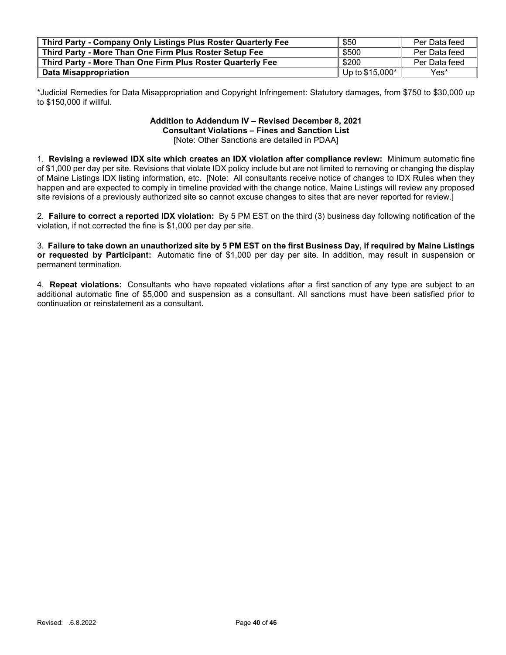| Third Party - Company Only Listings Plus Roster Quarterly Fee | \$50             | Per Data feed |
|---------------------------------------------------------------|------------------|---------------|
| Third Party - More Than One Firm Plus Roster Setup Fee        | \$500            | Per Data feed |
| Third Party - More Than One Firm Plus Roster Quarterly Fee    | \$200            | Per Data feed |
| Data Misappropriation                                         | Up to $$15,000*$ | Yes*          |

\*Judicial Remedies for Data Misappropriation and Copyright Infringement: Statutory damages, from \$750 to \$30,000 up to \$150,000 if willful.

#### Addition to Addendum IV – Revised December 8, 2021 Consultant Violations – Fines and Sanction List [Note: Other Sanctions are detailed in PDAA]

1. Revising a reviewed IDX site which creates an IDX violation after compliance review: Minimum automatic fine of \$1,000 per day per site. Revisions that violate IDX policy include but are not limited to removing or changing the display of Maine Listings IDX listing information, etc. [Note: All consultants receive notice of changes to IDX Rules when they happen and are expected to comply in timeline provided with the change notice. Maine Listings will review any proposed site revisions of a previously authorized site so cannot excuse changes to sites that are never reported for review.]

2. Failure to correct a reported IDX violation: By 5 PM EST on the third (3) business day following notification of the violation, if not corrected the fine is \$1,000 per day per site.

3. Failure to take down an unauthorized site by 5 PM EST on the first Business Day, if required by Maine Listings or requested by Participant: Automatic fine of \$1,000 per day per site. In addition, may result in suspension or permanent termination.

4. Repeat violations: Consultants who have repeated violations after a first sanction of any type are subject to an additional automatic fine of \$5,000 and suspension as a consultant. All sanctions must have been satisfied prior to continuation or reinstatement as a consultant.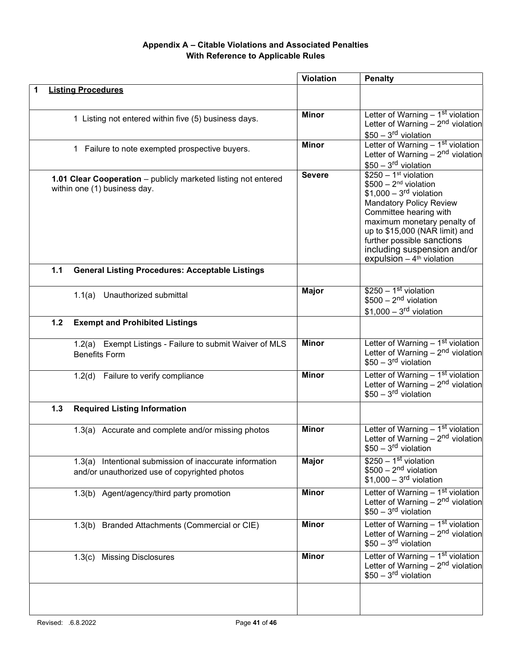# Appendix A – Citable Violations and Associated Penalties With Reference to Applicable Rules

|       |                                                                                                          | <b>Violation</b> | <b>Penalty</b>                                                                                                                                                                                                                                                                                                   |
|-------|----------------------------------------------------------------------------------------------------------|------------------|------------------------------------------------------------------------------------------------------------------------------------------------------------------------------------------------------------------------------------------------------------------------------------------------------------------|
|       | <b>Listing Procedures</b>                                                                                |                  |                                                                                                                                                                                                                                                                                                                  |
|       | 1 Listing not entered within five (5) business days.                                                     | <b>Minor</b>     | Letter of Warning $-1st$ violation<br>Letter of Warning $-2nd$ violation<br>$$50 - 3rd$ violation                                                                                                                                                                                                                |
|       | 1 Failure to note exempted prospective buyers.                                                           | <b>Minor</b>     | Letter of Warning - 1st violation<br>Letter of Warning $-2nd$ violation<br>$$50 - 3rd$ violation                                                                                                                                                                                                                 |
|       | 1.01 Clear Cooperation - publicly marketed listing not entered<br>within one (1) business day.           | <b>Severe</b>    | $$250 - 1st$ violation<br>$$500 - 2nd$ violation<br>$$1,000 - 3rd$ violation<br><b>Mandatory Policy Review</b><br>Committee hearing with<br>maximum monetary penalty of<br>up to \$15,000 (NAR limit) and<br>further possible sanctions<br>including suspension and/or<br>expulsion $-4$ <sup>th</sup> violation |
| 1.1   | <b>General Listing Procedures: Acceptable Listings</b>                                                   |                  |                                                                                                                                                                                                                                                                                                                  |
|       | 1.1(a) Unauthorized submittal                                                                            | <b>Major</b>     | $$250 - 1st$ violation<br>$$500 - 2nd$ violation<br>$$1,000-3rd$ violation                                                                                                                                                                                                                                       |
| $1.2$ | <b>Exempt and Prohibited Listings</b>                                                                    |                  |                                                                                                                                                                                                                                                                                                                  |
|       | 1.2(a) Exempt Listings - Failure to submit Waiver of MLS<br><b>Benefits Form</b>                         | <b>Minor</b>     | Letter of Warning - 1st violation<br>Letter of Warning $-2nd$ violation<br>$$50 - 3rd$ violation                                                                                                                                                                                                                 |
|       | 1.2(d) Failure to verify compliance                                                                      | <b>Minor</b>     | Letter of Warning – 1 <sup>st</sup> violation<br>Letter of Warning – $2nd$ violation<br>$$50 - 3rd$ violation                                                                                                                                                                                                    |
| 1.3   | <b>Required Listing Information</b>                                                                      |                  |                                                                                                                                                                                                                                                                                                                  |
|       | 1.3(a) Accurate and complete and/or missing photos                                                       | <b>Minor</b>     | Letter of Warning $-1st$ violation<br>Letter of Warning $-2nd$ violation<br>$$50 - 3rd$ violation                                                                                                                                                                                                                |
|       | 1.3(a) Intentional submission of inaccurate information<br>and/or unauthorized use of copyrighted photos | <b>Major</b>     | $$250 - 1st$ violation<br>$$500 - 2nd$ violation<br>$$1,000-3rd$ violation                                                                                                                                                                                                                                       |
|       | 1.3(b) Agent/agency/third party promotion                                                                | <b>Minor</b>     | Letter of Warning - 1 <sup>st</sup> violation<br>Letter of Warning $-2nd$ violation<br>$$50 - 3rd$ violation                                                                                                                                                                                                     |
|       | 1.3(b) Branded Attachments (Commercial or CIE)                                                           | <b>Minor</b>     | Letter of Warning - 1st violation<br>Letter of Warning $-2nd$ violation<br>$$50 - 3rd$ violation                                                                                                                                                                                                                 |
|       | 1.3(c) Missing Disclosures                                                                               | <b>Minor</b>     | Letter of Warning $-1st$ violation<br>Letter of Warning $-2nd$ violation<br>$$50 - 3rd$ violation                                                                                                                                                                                                                |
|       |                                                                                                          |                  |                                                                                                                                                                                                                                                                                                                  |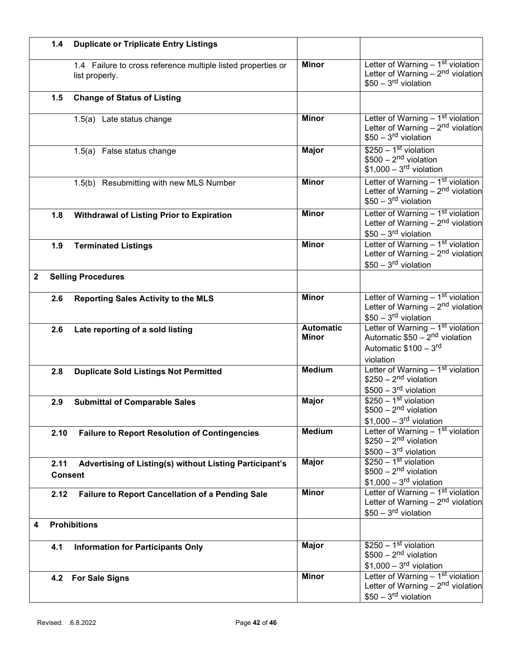|              | 1.4                    | <b>Duplicate or Triplicate Entry Listings</b>                                  |                                  |                                                                                                                                   |
|--------------|------------------------|--------------------------------------------------------------------------------|----------------------------------|-----------------------------------------------------------------------------------------------------------------------------------|
|              |                        | 1.4 Failure to cross reference multiple listed properties or<br>list properly. | <b>Minor</b>                     | Letter of Warning $-1st$ violation<br>Letter of Warning $-2nd$ violation<br>$$50 - 3rd$ violation                                 |
|              | 1.5                    | <b>Change of Status of Listing</b>                                             |                                  |                                                                                                                                   |
|              |                        | 1.5(a) Late status change                                                      | <b>Minor</b>                     | Letter of Warning $-1st$ violation<br>Letter of Warning $-2nd$ violation<br>$$50 - 3rd$ violation                                 |
|              |                        | 1.5(a) False status change                                                     | <b>Major</b>                     | $$250 - 1st$ violation<br>$$500 - 2nd$ violation<br>$$1,000-3rd$ violation                                                        |
|              |                        | 1.5(b) Resubmitting with new MLS Number                                        | <b>Minor</b>                     | Letter of Warning $-1st$ violation<br>Letter of Warning $-2nd$ violation<br>$$50 - 3rd$ violation                                 |
|              | 1.8                    | <b>Withdrawal of Listing Prior to Expiration</b>                               | <b>Minor</b>                     | Letter of Warning - 1st violation<br>Letter of Warning $-2nd$ violation<br>$$50 - 3rd$ violation                                  |
|              | 1.9                    | <b>Terminated Listings</b>                                                     | <b>Minor</b>                     | Letter of Warning - 1st violation<br>Letter of Warning $-2nd$ violation<br>$$50 - 3rd$ violation                                  |
| $\mathbf{2}$ |                        | <b>Selling Procedures</b>                                                      |                                  |                                                                                                                                   |
|              | 2.6                    | <b>Reporting Sales Activity to the MLS</b>                                     | <b>Minor</b>                     | Letter of Warning - 1 <sup>st</sup> violation<br>Letter of Warning $-2nd$ violation<br>$$50 - 3rd$ violation                      |
|              | 2.6                    | Late reporting of a sold listing                                               | <b>Automatic</b><br><b>Minor</b> | Letter of Warning - 1 <sup>st</sup> violation<br>Automatic \$50 - 2 <sup>nd</sup> violation<br>Automatic \$100 - 3rd<br>violation |
|              | 2.8                    | <b>Duplicate Sold Listings Not Permitted</b>                                   | <b>Medium</b>                    | Letter of Warning - 1st violation<br>$$250 - 2nd$ violation<br>$$500 - 3rd$ violation                                             |
|              | 2.9                    | <b>Submittal of Comparable Sales</b>                                           | <b>Major</b>                     | $$250 - 1st$ violation<br>$$500 - 2nd$ violation<br>$$1,000-3rd$ violation                                                        |
|              | 2.10                   | <b>Failure to Report Resolution of Contingencies</b>                           | <b>Medium</b>                    | Letter of Warning - 1st violation<br>$$250 - 2nd$ violation<br>$$500 - 3rd$ violation                                             |
|              | 2.11<br><b>Consent</b> | Advertising of Listing(s) without Listing Participant's                        | <b>Major</b>                     | $$250 - 1st$ violation<br>$$500 - 2nd$ violation<br>$$1,000-3rd$ violation                                                        |
|              | 2.12                   | Failure to Report Cancellation of a Pending Sale                               | <b>Minor</b>                     | Letter of Warning - 1st violation<br>Letter of Warning $-2nd$ violation<br>$$50 - 3rd$ violation                                  |
| 4            |                        | <b>Prohibitions</b>                                                            |                                  |                                                                                                                                   |
|              | 4.1                    | <b>Information for Participants Only</b>                                       | <b>Major</b>                     | $$250 - 1st$ violation<br>$$500 - 2nd$ violation<br>$$1,000 - 3rd$ violation                                                      |
|              |                        | 4.2 For Sale Signs                                                             | <b>Minor</b>                     | Letter of Warning $-1st$ violation<br>Letter of Warning $-2nd$ violation<br>$$50 - 3rd$ violation                                 |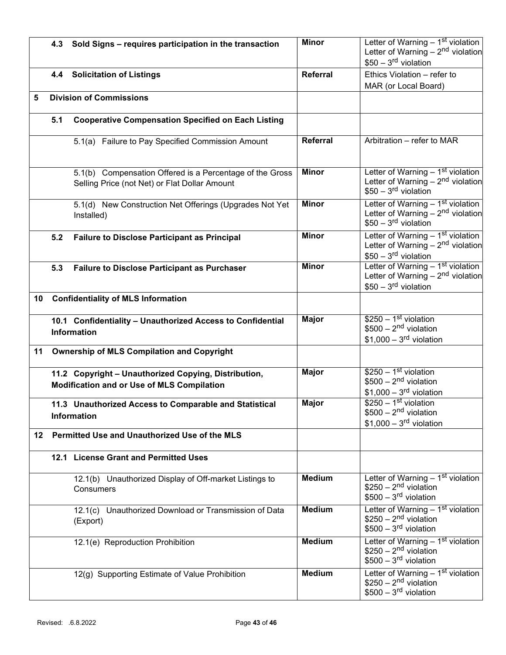|     | 4.3 | Sold Signs - requires participation in the transaction                                                    | <b>Minor</b>    | Letter of Warning - 1st violation<br>Letter of Warning $-2nd$ violation                                      |
|-----|-----|-----------------------------------------------------------------------------------------------------------|-----------------|--------------------------------------------------------------------------------------------------------------|
|     |     |                                                                                                           |                 | $$50 - 3rd$ violation                                                                                        |
|     |     | 4.4 Solicitation of Listings                                                                              | <b>Referral</b> | Ethics Violation - refer to                                                                                  |
|     |     |                                                                                                           |                 | MAR (or Local Board)                                                                                         |
| 5   |     | <b>Division of Commissions</b>                                                                            |                 |                                                                                                              |
|     | 5.1 | <b>Cooperative Compensation Specified on Each Listing</b>                                                 |                 |                                                                                                              |
|     |     | 5.1(a) Failure to Pay Specified Commission Amount                                                         | Referral        | Arbitration - refer to MAR                                                                                   |
|     |     | 5.1(b) Compensation Offered is a Percentage of the Gross<br>Selling Price (not Net) or Flat Dollar Amount | <b>Minor</b>    | Letter of Warning $-1st$ violation<br>Letter of Warning $-2nd$ violation<br>$$50 - 3rd$ violation            |
|     |     | 5.1(d) New Construction Net Offerings (Upgrades Not Yet<br>Installed)                                     | <b>Minor</b>    | Letter of Warning $-1st$ violation<br>Letter of Warning $-2nd$ violation<br>$$50 - 3rd$ violation            |
|     | 5.2 | <b>Failure to Disclose Participant as Principal</b>                                                       | <b>Minor</b>    | Letter of Warning - 1st violation<br>Letter of Warning $-2nd$ violation<br>$$50 - 3rd$ violation             |
|     | 5.3 | <b>Failure to Disclose Participant as Purchaser</b>                                                       | <b>Minor</b>    | Letter of Warning - 1 <sup>st</sup> violation<br>Letter of Warning $-2nd$ violation<br>$$50 - 3rd$ violation |
| 10  |     | <b>Confidentiality of MLS Information</b>                                                                 |                 |                                                                                                              |
|     |     | 10.1 Confidentiality - Unauthorized Access to Confidential<br>Information                                 | <b>Major</b>    | $$250 - 1st$ violation<br>$$500 - 2nd$ violation<br>$$1,000-3rd$ violation                                   |
| 11  |     | <b>Ownership of MLS Compilation and Copyright</b>                                                         |                 |                                                                                                              |
|     |     | 11.2 Copyright - Unauthorized Copying, Distribution,<br>Modification and or Use of MLS Compilation        | <b>Major</b>    | $$250 - 1st$ violation<br>$$500 - 2nd$ violation<br>$$1,000 - 3rd$ violation                                 |
|     |     | 11.3 Unauthorized Access to Comparable and Statistical<br><b>Information</b>                              | <b>Major</b>    | $$250 - 1st$ violation<br>$$500 - 2nd$ violation<br>$$1,000-3rd$ violation                                   |
| 12. |     | Permitted Use and Unauthorized Use of the MLS                                                             |                 |                                                                                                              |
|     |     | 12.1 License Grant and Permitted Uses                                                                     |                 |                                                                                                              |
|     |     | 12.1(b) Unauthorized Display of Off-market Listings to<br>Consumers                                       | <b>Medium</b>   | Letter of Warning $-1st$ violation<br>$$250 - 2nd$ violation<br>$$500 - 3rd$ violation                       |
|     |     | 12.1(c) Unauthorized Download or Transmission of Data<br>(Export)                                         | <b>Medium</b>   | Letter of Warning $-1st$ violation<br>$$250 - 2nd$ violation<br>$$500 - 3rd$ violation                       |
|     |     | 12.1(e) Reproduction Prohibition                                                                          | <b>Medium</b>   | Letter of Warning - 1 <sup>st</sup> violation<br>$$250 - 2nd$ violation<br>$$500 - 3rd$ violation            |
|     |     | 12(g) Supporting Estimate of Value Prohibition                                                            | <b>Medium</b>   | Letter of Warning $-1st$ violation<br>$$250 - 2nd$ violation<br>$$500 - 3rd$ violation                       |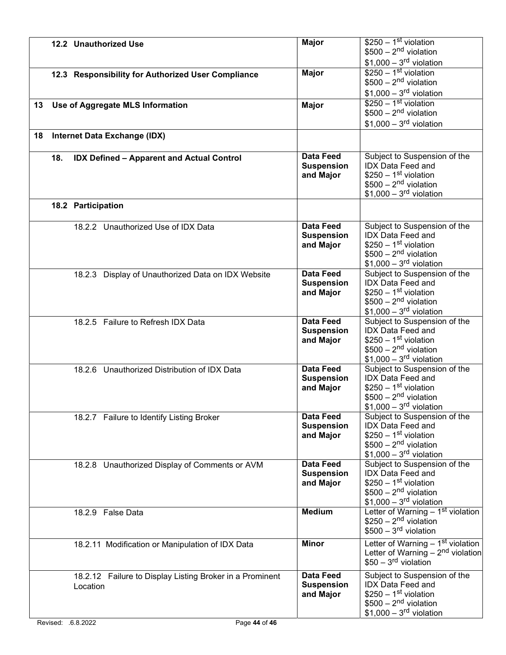|    |     | 12.2 Unauthorized Use                                                | <b>Major</b>                                       | $$250 - 1st$ violation<br>$$500 - 2nd$ violation<br>$$1,000 - 3rd$ violation                                                             |
|----|-----|----------------------------------------------------------------------|----------------------------------------------------|------------------------------------------------------------------------------------------------------------------------------------------|
|    |     | 12.3 Responsibility for Authorized User Compliance                   | <b>Major</b>                                       | $$250 - 1st$ violation<br>$$500 - 2nd$ violation<br>$$1,000-3rd$ violation                                                               |
| 13 |     | Use of Aggregate MLS Information                                     | <b>Major</b>                                       | $$250 - 1st$ violation<br>$$500 - 2nd$ violation<br>$$1,000 - 3rd$ violation                                                             |
| 18 |     | Internet Data Exchange (IDX)                                         |                                                    |                                                                                                                                          |
|    | 18. | <b>IDX Defined - Apparent and Actual Control</b>                     | <b>Data Feed</b><br><b>Suspension</b><br>and Major | Subject to Suspension of the<br><b>IDX Data Feed and</b><br>$$250 - 1st$ violation<br>$$500 - 2nd$ violation<br>$$1,000-3rd$ violation   |
|    |     | 18.2 Participation                                                   |                                                    |                                                                                                                                          |
|    |     | 18.2.2 Unauthorized Use of IDX Data                                  | <b>Data Feed</b><br><b>Suspension</b><br>and Major | Subject to Suspension of the<br><b>IDX Data Feed and</b><br>$$250 - 1st$ violation<br>$$500 - 2nd$ violation<br>$$1,000 - 3rd$ violation |
|    |     | 18.2.3 Display of Unauthorized Data on IDX Website                   | <b>Data Feed</b><br><b>Suspension</b><br>and Major | Subject to Suspension of the<br><b>IDX Data Feed and</b><br>$$250 - 1st$ violation<br>$$500 - 2nd$ violation<br>$$1,000 - 3rd$ violation |
|    |     | 18.2.5 Failure to Refresh IDX Data                                   | <b>Data Feed</b><br><b>Suspension</b><br>and Major | Subject to Suspension of the<br><b>IDX Data Feed and</b><br>$$250 - 1st$ violation<br>$$500 - 2nd$ violation<br>$$1,000-3rd$ violation   |
|    |     | 18.2.6 Unauthorized Distribution of IDX Data                         | <b>Data Feed</b><br><b>Suspension</b><br>and Major | Subject to Suspension of the<br><b>IDX Data Feed and</b><br>$$250 - 1st$ violation<br>$$500 - 2nd$ violation<br>$$1,000-3rd$ violation   |
|    |     | 18.2.7 Failure to Identify Listing Broker                            | <b>Data Feed</b><br><b>Suspension</b><br>and Major | Subject to Suspension of the<br><b>IDX Data Feed and</b><br>$$250 - 1st$ violation<br>$$500 - 2nd$ violation<br>$$1,000 - 3rd$ violation |
|    |     | 18.2.8 Unauthorized Display of Comments or AVM                       | <b>Data Feed</b><br><b>Suspension</b><br>and Major | Subject to Suspension of the<br>IDX Data Feed and<br>$$250 - 1st$ violation<br>$$500 - 2nd$ violation<br>$$1,000 - 3rd$ violation        |
|    |     | 18.2.9 False Data                                                    | <b>Medium</b>                                      | Letter of Warning $-1st$ violation<br>$$250 - 2nd$ violation<br>$$500 - 3rd$ violation                                                   |
|    |     | 18.2.11 Modification or Manipulation of IDX Data                     | <b>Minor</b>                                       | Letter of Warning $-1st$ violation<br>Letter of Warning $-2nd$ violation<br>$$50 - 3rd$ violation                                        |
|    |     | 18.2.12 Failure to Display Listing Broker in a Prominent<br>Location | <b>Data Feed</b><br><b>Suspension</b><br>and Major | Subject to Suspension of the<br><b>IDX Data Feed and</b><br>$$250 - 1st$ violation<br>$$500 - 2nd$ violation<br>$$1,000-3rd$ violation   |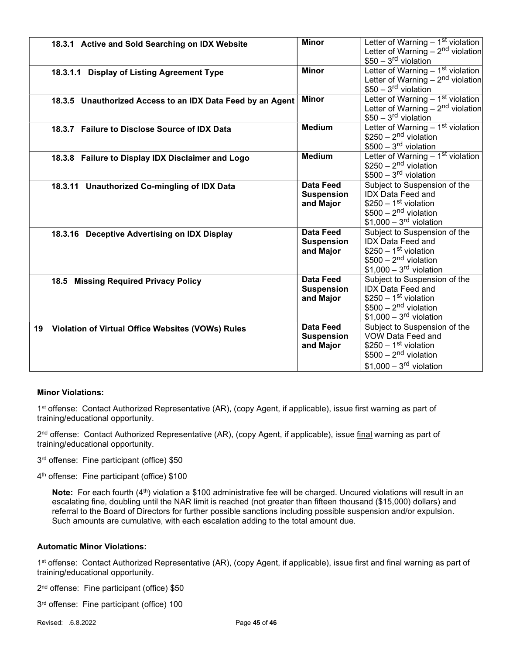|    | 18.3.1 Active and Sold Searching on IDX Website            | <b>Minor</b>      | Letter of Warning - 1st violation  |
|----|------------------------------------------------------------|-------------------|------------------------------------|
|    |                                                            |                   | Letter of Warning $-2nd$ violation |
|    |                                                            |                   | $$50 - 3rd$ violation              |
|    | 18.3.1.1 Display of Listing Agreement Type                 | <b>Minor</b>      | Letter of Warning - 1st violation  |
|    |                                                            |                   | Letter of Warning $-2nd$ violation |
|    |                                                            |                   | $$50 - 3rd$ violation              |
|    | 18.3.5 Unauthorized Access to an IDX Data Feed by an Agent | <b>Minor</b>      | Letter of Warning $-1st$ violation |
|    |                                                            |                   | Letter of Warning $-2nd$ violation |
|    |                                                            |                   | $$50 - 3rd$ violation              |
|    | 18.3.7 Failure to Disclose Source of IDX Data              | <b>Medium</b>     | Letter of Warning - 1st violation  |
|    |                                                            |                   | $$250 - 2nd$ violation             |
|    |                                                            |                   | $$500 - 3rd$ violation             |
|    | 18.3.8 Failure to Display IDX Disclaimer and Logo          | <b>Medium</b>     | Letter of Warning - 1st violation  |
|    |                                                            |                   | $$250 - 2nd$ violation             |
|    |                                                            |                   | $$500 - 3rd$ violation             |
|    | 18.3.11 Unauthorized Co-mingling of IDX Data               | <b>Data Feed</b>  | Subject to Suspension of the       |
|    |                                                            | <b>Suspension</b> | <b>IDX Data Feed and</b>           |
|    |                                                            | and Major         | $$250 - 1st$ violation             |
|    |                                                            |                   | $$500 - 2nd$ violation             |
|    |                                                            |                   | $$1,000 - 3rd$ violation           |
|    | 18.3.16 Deceptive Advertising on IDX Display               | <b>Data Feed</b>  | Subject to Suspension of the       |
|    |                                                            | <b>Suspension</b> | <b>IDX</b> Data Feed and           |
|    |                                                            | and Major         | $$250 - 1st$ violation             |
|    |                                                            |                   | $$500 - 2nd$ violation             |
|    |                                                            |                   | $$1,000 - 3rd$ violation           |
|    |                                                            | <b>Data Feed</b>  | Subject to Suspension of the       |
|    | 18.5 Missing Required Privacy Policy                       | <b>Suspension</b> | <b>IDX</b> Data Feed and           |
|    |                                                            | and Major         | $$250 - 1st$ violation             |
|    |                                                            |                   | $$500 - 2nd$ violation             |
|    |                                                            |                   | $$1,000-3rd$ violation             |
|    |                                                            |                   |                                    |
| 19 | Violation of Virtual Office Websites (VOWs) Rules          | <b>Data Feed</b>  | Subject to Suspension of the       |
|    |                                                            | <b>Suspension</b> | VOW Data Feed and                  |
|    |                                                            | and Major         | $$250 - 1st$ violation             |
|    |                                                            |                   | $$500 - 2nd$ violation             |
|    |                                                            |                   | $$1,000 - 3rd$ violation           |

## Minor Violations:

1<sup>st</sup> offense: Contact Authorized Representative (AR), (copy Agent, if applicable), issue first warning as part of training/educational opportunity.

2<sup>nd</sup> offense: Contact Authorized Representative (AR), (copy Agent, if applicable), issue <u>final</u> warning as part of training/educational opportunity.

3 rd offense: Fine participant (office) \$50

4 th offense: Fine participant (office) \$100

Note: For each fourth  $(4<sup>th</sup>)$  violation a \$100 administrative fee will be charged. Uncured violations will result in an escalating fine, doubling until the NAR limit is reached (not greater than fifteen thousand (\$15,000) dollars) and referral to the Board of Directors for further possible sanctions including possible suspension and/or expulsion. Such amounts are cumulative, with each escalation adding to the total amount due.

## Automatic Minor Violations:

1<sup>st</sup> offense: Contact Authorized Representative (AR), (copy Agent, if applicable), issue first and final warning as part of training/educational opportunity.

2 nd offense: Fine participant (office) \$50

3 rd offense: Fine participant (office) 100